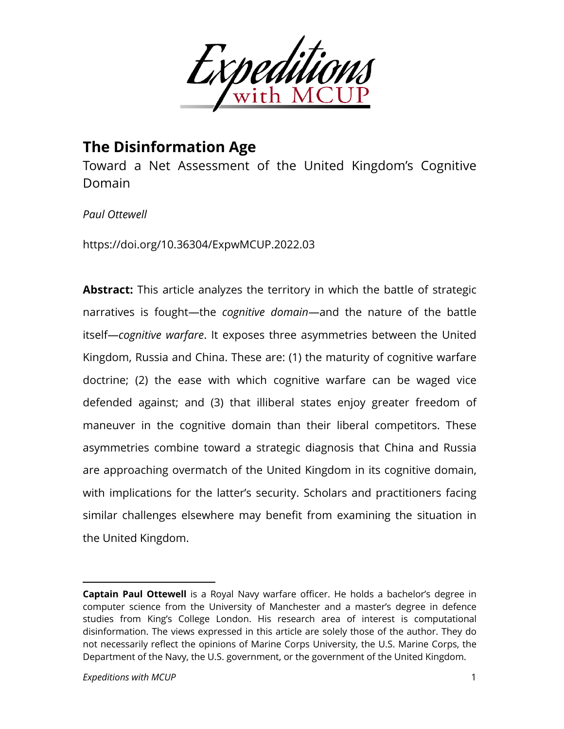

# **The Disinformation Age**

Toward a Net Assessment of the United Kingdom's Cognitive Domain

### **Paul Ottewell**

https://doi.org/10.36304/ExpwMCUP.2022.03

**Abstract:** This article analyzes the territory in which the battle of strategic narratives is fought—the *cognitive domain*—and the nature of the battle itself—*cognitive warfare*. It exposes three asymmetries between the United Kingdom, Russia and China. These are: (1) the maturity of cognitive warfare doctrine; (2) the ease with which cognitive warfare can be waged vice defended against; and (3) that illiberal states enjoy greater freedom of maneuver in the cognitive domain than their liberal competitors. These asymmetries combine toward a strategic diagnosis that China and Russia are approaching overmatch of the United Kingdom in its cognitive domain, with implications for the latter's security. Scholars and practitioners facing similar challenges elsewhere may benefit from examining the situation in the United Kingdom.

**Captain Paul Ottewell** is a Royal Navy warfare officer. He holds a bachelor's degree in computer science from the University of Manchester and a master's degree in defence studies from King's College London. His research area of interest is computational disinformation. The views expressed in this article are solely those of the author. They do not necessarily reflect the opinions of Marine Corps University, the U.S. Marine Corps, the Department of the Navy, the U.S. government, or the government of the United Kingdom.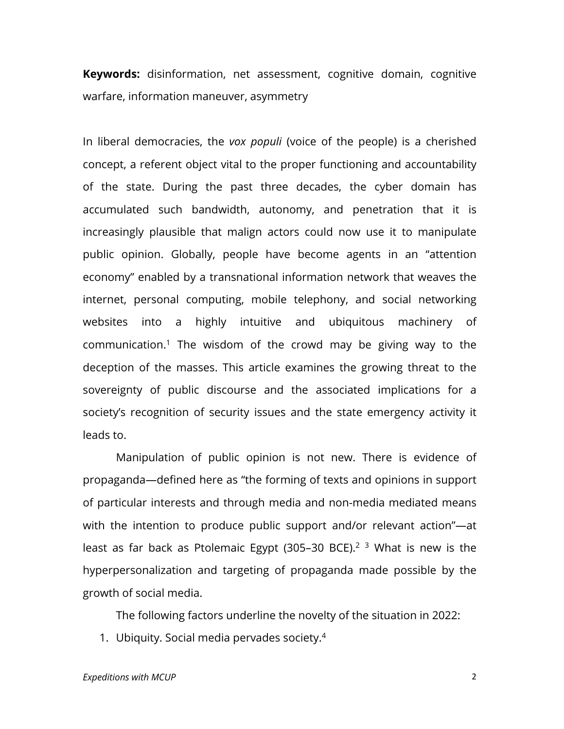**Keywords:** disinformation, net assessment, cognitive domain, cognitive warfare, information maneuver, asymmetry

In liberal democracies, the *vox populi* (voice of the people) is a cherished concept, a referent object vital to the proper functioning and accountability of the state. During the past three decades, the cyber domain has accumulated such bandwidth, autonomy, and penetration that it is increasingly plausible that malign actors could now use it to manipulate public opinion. Globally, people have become agents in an "attention economy" enabled by a transnational information network that weaves the internet, personal computing, mobile telephony, and social networking websites into a highly intuitive and ubiquitous machinery of communication.<sup>1</sup> The wisdom of the crowd may be giving way to the deception of the masses. This article examines the growing threat to the sovereignty of public discourse and the associated implications for a society's recognition of security issues and the state emergency activity it leads to.

Manipulation of public opinion is not new. There is evidence of propaganda—defined here as "the forming of texts and opinions in support of particular interests and through media and non-media mediated means with the intention to produce public support and/or relevant action"—at least as far back as Ptolemaic Egypt (305–30 BCE).<sup>2</sup> 3 What is new is the hyperpersonalization and targeting of propaganda made possible by the growth of social media.

The following factors underline the novelty of the situation in 2022:

1. Ubiquity. Social media pervades society.4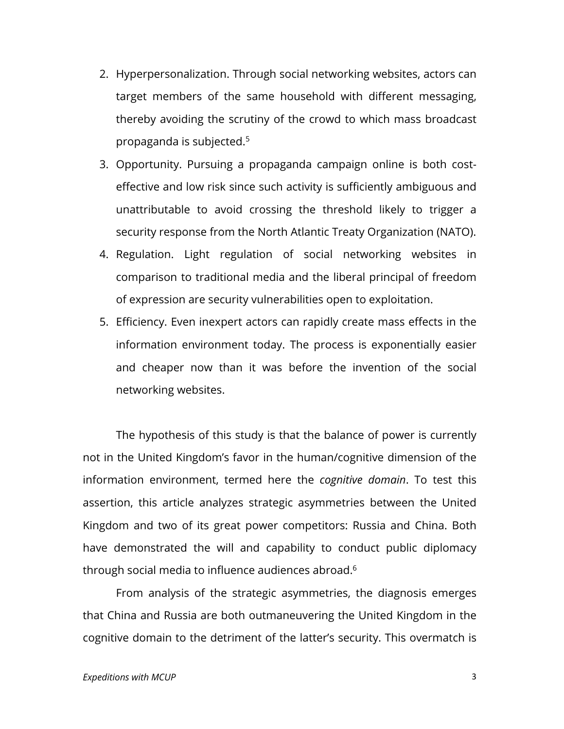- 2. Hyperpersonalization. Through social networking websites, actors can target members of the same household with different messaging, thereby avoiding the scrutiny of the crowd to which mass broadcast propaganda is subjected.5
- 3. Opportunity. Pursuing a propaganda campaign online is both costeffective and low risk since such activity is sufficiently ambiguous and unattributable to avoid crossing the threshold likely to trigger a security response from the North Atlantic Treaty Organization (NATO).
- 4. Regulation. Light regulation of social networking websites in comparison to traditional media and the liberal principal of freedom of expression are security vulnerabilities open to exploitation.
- 5. Efficiency. Even inexpert actors can rapidly create mass effects in the information environment today. The process is exponentially easier and cheaper now than it was before the invention of the social networking websites.

The hypothesis of this study is that the balance of power is currently not in the United Kingdom's favor in the human/cognitive dimension of the information environment, termed here the *cognitive domain*. To test this assertion, this article analyzes strategic asymmetries between the United Kingdom and two of its great power competitors: Russia and China. Both have demonstrated the will and capability to conduct public diplomacy through social media to influence audiences abroad.<sup>6</sup>

From analysis of the strategic asymmetries, the diagnosis emerges that China and Russia are both outmaneuvering the United Kingdom in the cognitive domain to the detriment of the latter's security. This overmatch is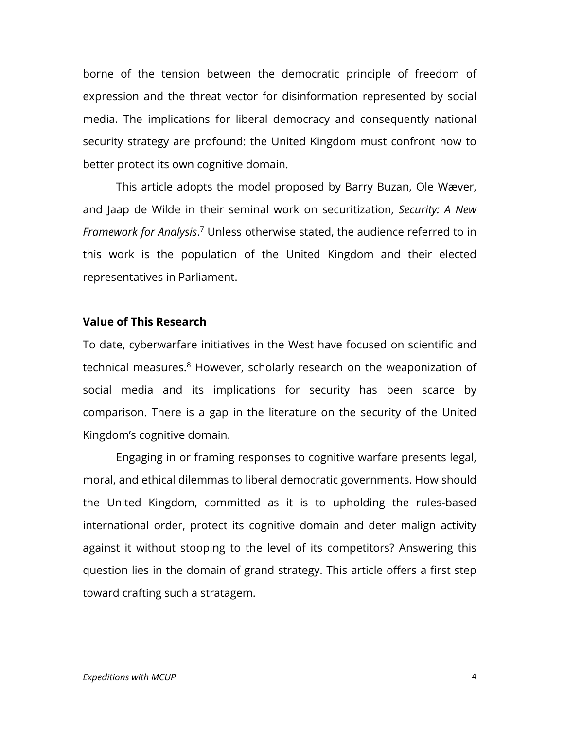borne of the tension between the democratic principle of freedom of expression and the threat vector for disinformation represented by social media. The implications for liberal democracy and consequently national security strategy are profound: the United Kingdom must confront how to better protect its own cognitive domain.

This article adopts the model proposed by Barry Buzan, Ole Wæver, and Jaap de Wilde in their seminal work on securitization, *Security: A New Framework for Analysis*. <sup>7</sup> Unless otherwise stated, the audience referred to in this work is the population of the United Kingdom and their elected representatives in Parliament.

#### **Value of This Research**

To date, cyberwarfare initiatives in the West have focused on scientific and technical measures.<sup>8</sup> However, scholarly research on the weaponization of social media and its implications for security has been scarce by comparison. There is a gap in the literature on the security of the United Kingdom's cognitive domain.

Engaging in or framing responses to cognitive warfare presents legal, moral, and ethical dilemmas to liberal democratic governments. How should the United Kingdom, committed as it is to upholding the rules-based international order, protect its cognitive domain and deter malign activity against it without stooping to the level of its competitors? Answering this question lies in the domain of grand strategy. This article offers a first step toward crafting such a stratagem.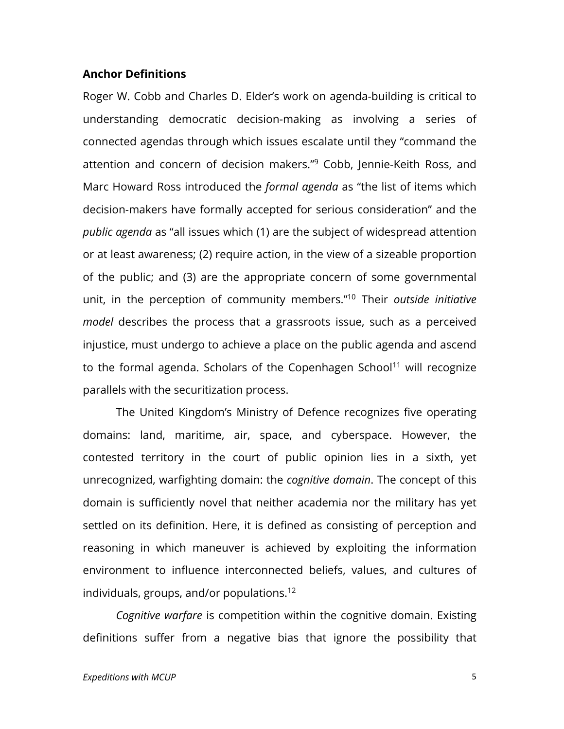#### **Anchor Definitions**

Roger W. Cobb and Charles D. Elder's work on agenda-building is critical to understanding democratic decision-making as involving a series of connected agendas through which issues escalate until they "command the attention and concern of decision makers."9 Cobb, Jennie-Keith Ross, and Marc Howard Ross introduced the *formal agenda* as "the list of items which decision-makers have formally accepted for serious consideration" and the *public agenda* as "all issues which (1) are the subject of widespread attention or at least awareness; (2) require action, in the view of a sizeable proportion of the public; and (3) are the appropriate concern of some governmental unit, in the perception of community members."10 Their *outside initiative model* describes the process that a grassroots issue, such as a perceived injustice, must undergo to achieve a place on the public agenda and ascend to the formal agenda. Scholars of the Copenhagen School<sup>11</sup> will recognize parallels with the securitization process.

The United Kingdom's Ministry of Defence recognizes five operating domains: land, maritime, air, space, and cyberspace. However, the contested territory in the court of public opinion lies in a sixth, yet unrecognized, warfighting domain: the *cognitive domain*. The concept of this domain is sufficiently novel that neither academia nor the military has yet settled on its definition. Here, it is defined as consisting of perception and reasoning in which maneuver is achieved by exploiting the information environment to influence interconnected beliefs, values, and cultures of individuals, groups, and/or populations.12

*Cognitive warfare* is competition within the cognitive domain. Existing definitions suffer from a negative bias that ignore the possibility that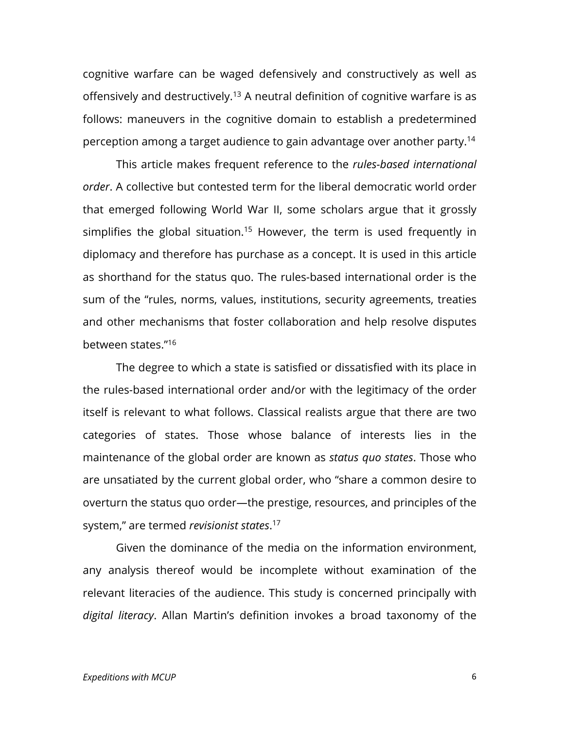cognitive warfare can be waged defensively and constructively as well as offensively and destructively.<sup>13</sup> A neutral definition of cognitive warfare is as follows: maneuvers in the cognitive domain to establish a predetermined perception among a target audience to gain advantage over another party.14

This article makes frequent reference to the *rules-based international order*. A collective but contested term for the liberal democratic world order that emerged following World War II, some scholars argue that it grossly simplifies the global situation.<sup>15</sup> However, the term is used frequently in diplomacy and therefore has purchase as a concept. It is used in this article as shorthand for the status quo. The rules-based international order is the sum of the "rules, norms, values, institutions, security agreements, treaties and other mechanisms that foster collaboration and help resolve disputes between states."16

The degree to which a state is satisfied or dissatisfied with its place in the rules-based international order and/or with the legitimacy of the order itself is relevant to what follows. Classical realists argue that there are two categories of states. Those whose balance of interests lies in the maintenance of the global order are known as *status quo states*. Those who are unsatiated by the current global order, who "share a common desire to overturn the status quo order—the prestige, resources, and principles of the system," are termed *revisionist states*. 17

Given the dominance of the media on the information environment, any analysis thereof would be incomplete without examination of the relevant literacies of the audience. This study is concerned principally with *digital literacy*. Allan Martin's definition invokes a broad taxonomy of the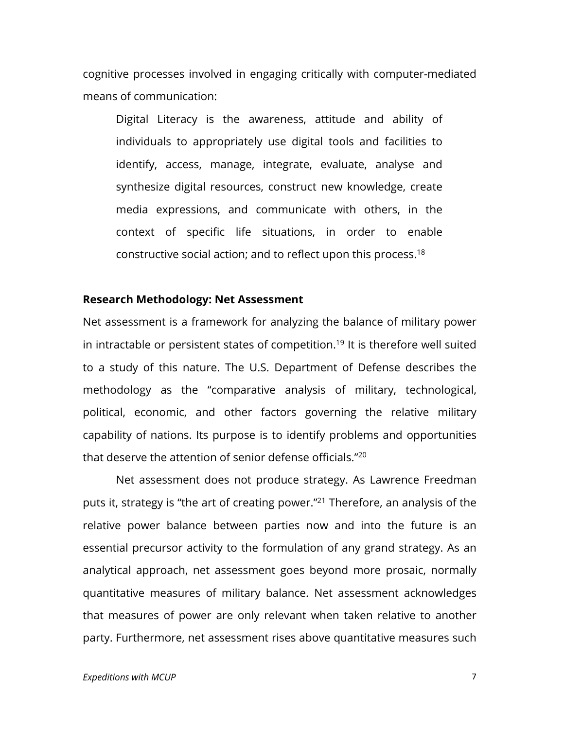cognitive processes involved in engaging critically with computer-mediated means of communication:

Digital Literacy is the awareness, attitude and ability of individuals to appropriately use digital tools and facilities to identify, access, manage, integrate, evaluate, analyse and synthesize digital resources, construct new knowledge, create media expressions, and communicate with others, in the context of specific life situations, in order to enable constructive social action; and to reflect upon this process.18

#### **Research Methodology: Net Assessment**

Net assessment is a framework for analyzing the balance of military power in intractable or persistent states of competition.<sup>19</sup> It is therefore well suited to a study of this nature. The U.S. Department of Defense describes the methodology as the "comparative analysis of military, technological, political, economic, and other factors governing the relative military capability of nations. Its purpose is to identify problems and opportunities that deserve the attention of senior defense officials."20

Net assessment does not produce strategy. As Lawrence Freedman puts it, strategy is "the art of creating power."21 Therefore, an analysis of the relative power balance between parties now and into the future is an essential precursor activity to the formulation of any grand strategy. As an analytical approach, net assessment goes beyond more prosaic, normally quantitative measures of military balance. Net assessment acknowledges that measures of power are only relevant when taken relative to another party. Furthermore, net assessment rises above quantitative measures such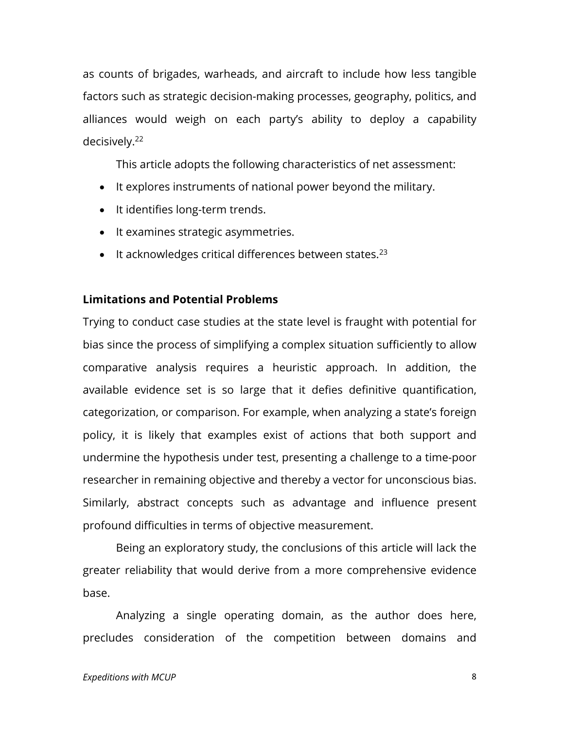as counts of brigades, warheads, and aircraft to include how less tangible factors such as strategic decision-making processes, geography, politics, and alliances would weigh on each party's ability to deploy a capability decisively.22

This article adopts the following characteristics of net assessment:

- It explores instruments of national power beyond the military.
- It identifies long-term trends.
- It examines strategic asymmetries.
- $\bullet$  It acknowledges critical differences between states.<sup>23</sup>

#### **Limitations and Potential Problems**

Trying to conduct case studies at the state level is fraught with potential for bias since the process of simplifying a complex situation sufficiently to allow comparative analysis requires a heuristic approach. In addition, the available evidence set is so large that it defies definitive quantification, categorization, or comparison. For example, when analyzing a state's foreign policy, it is likely that examples exist of actions that both support and undermine the hypothesis under test, presenting a challenge to a time-poor researcher in remaining objective and thereby a vector for unconscious bias. Similarly, abstract concepts such as advantage and influence present profound difficulties in terms of objective measurement.

Being an exploratory study, the conclusions of this article will lack the greater reliability that would derive from a more comprehensive evidence base.

Analyzing a single operating domain, as the author does here, precludes consideration of the competition between domains and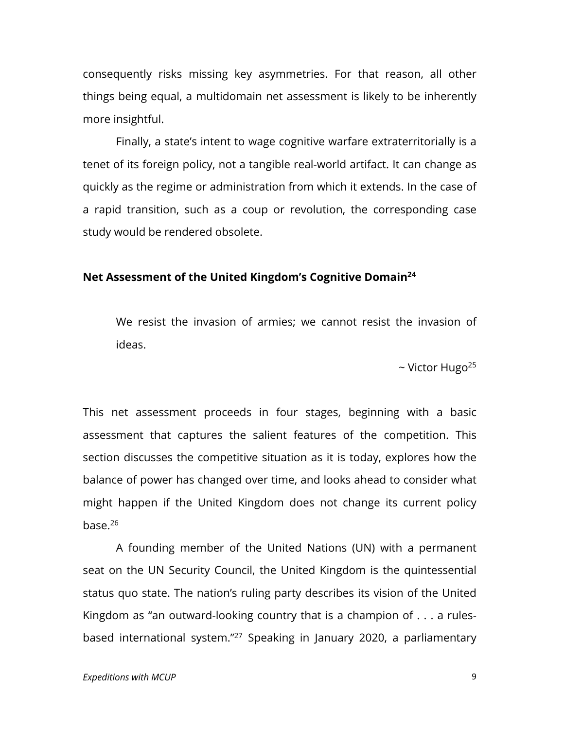consequently risks missing key asymmetries. For that reason, all other things being equal, a multidomain net assessment is likely to be inherently more insightful.

Finally, a state's intent to wage cognitive warfare extraterritorially is a tenet of its foreign policy, not a tangible real-world artifact. It can change as quickly as the regime or administration from which it extends. In the case of a rapid transition, such as a coup or revolution, the corresponding case study would be rendered obsolete.

### **Net Assessment of the United Kingdom's Cognitive Domain24**

We resist the invasion of armies; we cannot resist the invasion of ideas.

 $\sim$  Victor Hugo<sup>25</sup>

This net assessment proceeds in four stages, beginning with a basic assessment that captures the salient features of the competition. This section discusses the competitive situation as it is today, explores how the balance of power has changed over time, and looks ahead to consider what might happen if the United Kingdom does not change its current policy base.26

A founding member of the United Nations (UN) with a permanent seat on the UN Security Council, the United Kingdom is the quintessential status quo state. The nation's ruling party describes its vision of the United Kingdom as "an outward-looking country that is a champion of . . . a rulesbased international system."27 Speaking in January 2020, a parliamentary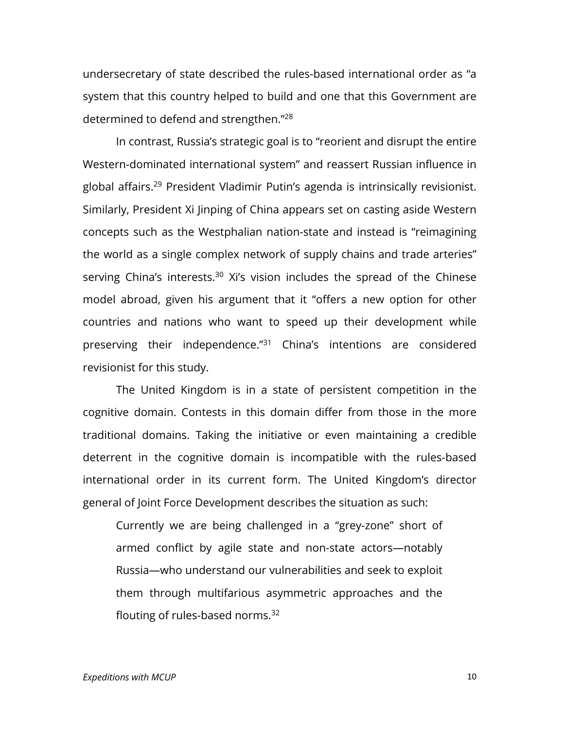undersecretary of state described the rules-based international order as "a system that this country helped to build and one that this Government are determined to defend and strengthen."28

In contrast, Russia's strategic goal is to "reorient and disrupt the entire Western-dominated international system" and reassert Russian influence in global affairs.29 President Vladimir Putin's agenda is intrinsically revisionist. Similarly, President Xi Jinping of China appears set on casting aside Western concepts such as the Westphalian nation-state and instead is "reimagining the world as a single complex network of supply chains and trade arteries" serving China's interests.<sup>30</sup> Xi's vision includes the spread of the Chinese model abroad, given his argument that it "offers a new option for other countries and nations who want to speed up their development while preserving their independence."31 China's intentions are considered revisionist for this study.

The United Kingdom is in a state of persistent competition in the cognitive domain. Contests in this domain differ from those in the more traditional domains. Taking the initiative or even maintaining a credible deterrent in the cognitive domain is incompatible with the rules-based international order in its current form. The United Kingdom's director general of Joint Force Development describes the situation as such:

Currently we are being challenged in a "grey-zone" short of armed conflict by agile state and non-state actors—notably Russia—who understand our vulnerabilities and seek to exploit them through multifarious asymmetric approaches and the flouting of rules-based norms. 32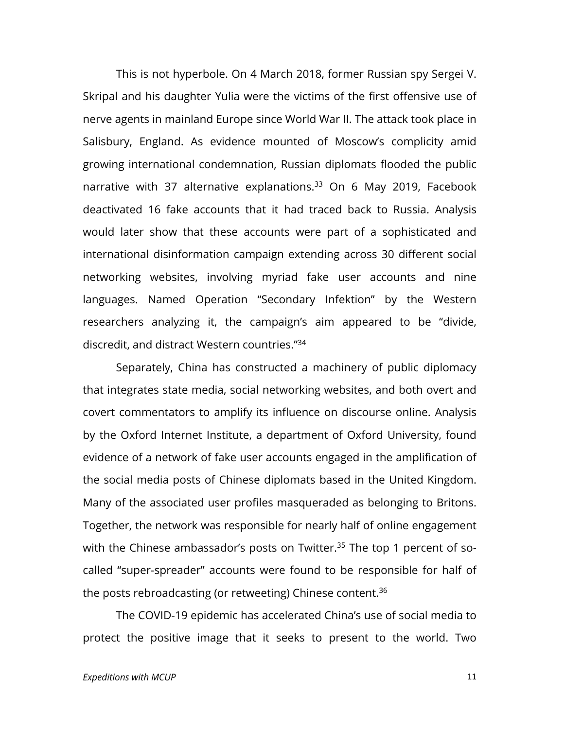This is not hyperbole. On 4 March 2018, former Russian spy Sergei V. Skripal and his daughter Yulia were the victims of the first offensive use of nerve agents in mainland Europe since World War II. The attack took place in Salisbury, England. As evidence mounted of Moscow's complicity amid growing international condemnation, Russian diplomats flooded the public narrative with 37 alternative explanations.<sup>33</sup> On 6 May 2019, Facebook deactivated 16 fake accounts that it had traced back to Russia. Analysis would later show that these accounts were part of a sophisticated and international disinformation campaign extending across 30 different social networking websites, involving myriad fake user accounts and nine languages. Named Operation "Secondary Infektion" by the Western researchers analyzing it, the campaign's aim appeared to be "divide, discredit, and distract Western countries."34

Separately, China has constructed a machinery of public diplomacy that integrates state media, social networking websites, and both overt and covert commentators to amplify its influence on discourse online. Analysis by the Oxford Internet Institute, a department of Oxford University, found evidence of a network of fake user accounts engaged in the amplification of the social media posts of Chinese diplomats based in the United Kingdom. Many of the associated user profiles masqueraded as belonging to Britons. Together, the network was responsible for nearly half of online engagement with the Chinese ambassador's posts on Twitter.<sup>35</sup> The top 1 percent of socalled "super-spreader" accounts were found to be responsible for half of the posts rebroadcasting (or retweeting) Chinese content.<sup>36</sup>

The COVID-19 epidemic has accelerated China's use of social media to protect the positive image that it seeks to present to the world. Two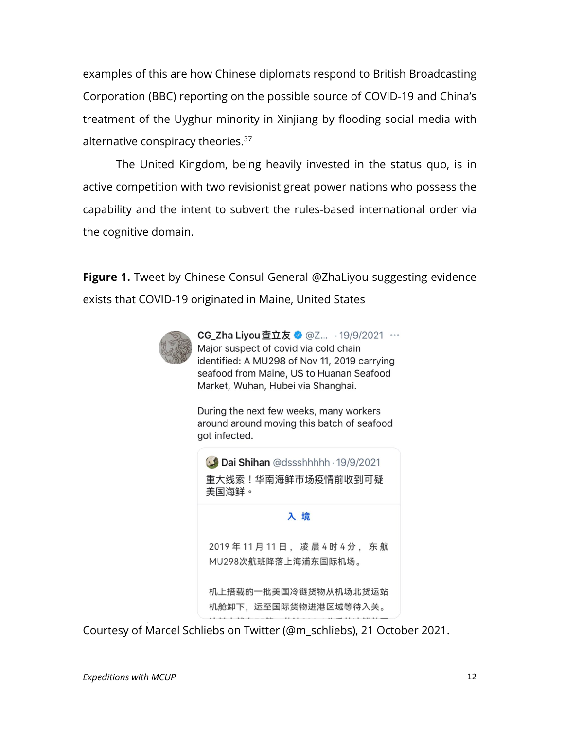examples of this are how Chinese diplomats respond to British Broadcasting Corporation (BBC) reporting on the possible source of COVID-19 and China's treatment of the Uyghur minority in Xinjiang by flooding social media with alternative conspiracy theories.37

The United Kingdom, being heavily invested in the status quo, is in active competition with two revisionist great power nations who possess the capability and the intent to subvert the rules-based international order via the cognitive domain.

**Figure 1.** Tweet by Chinese Consul General @ZhaLiyou suggesting evidence exists that COVID-19 originated in Maine, United States



CG\_Zha Liyou 查立友 3 @Z... · 19/9/2021 … Major suspect of covid via cold chain identified: A MU298 of Nov 11, 2019 carrying seafood from Maine, US to Huanan Seafood Market, Wuhan, Hubei via Shanghai.

During the next few weeks, many workers around around moving this batch of seafood got infected.

Dai Shihan @dssshhhhh · 19/9/2021 重大线索!华南海鲜市场疫情前收到可疑 美国海鲜。

入境

2019年11月11日, 凌晨4时4分, 东航 MU298次航班降落上海浦东国际机场。

机上搭载的一批美国冷链货物从机场北货运站 机舱卸下,运至国际货物进港区域等待入关。

Courtesy of Marcel Schliebs on Twitter (@m\_schliebs), 21 October 2021.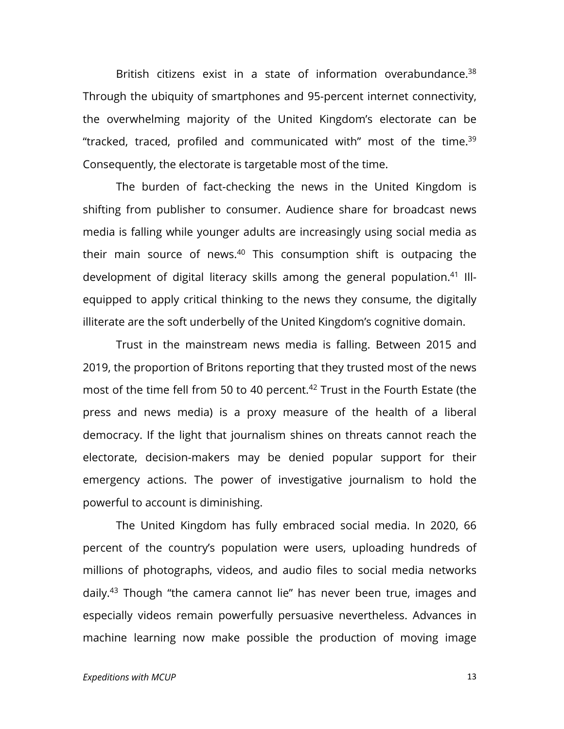British citizens exist in a state of information overabundance.<sup>38</sup> Through the ubiquity of smartphones and 95-percent internet connectivity, the overwhelming majority of the United Kingdom's electorate can be "tracked, traced, profiled and communicated with" most of the time.<sup>39</sup> Consequently, the electorate is targetable most of the time.

The burden of fact-checking the news in the United Kingdom is shifting from publisher to consumer. Audience share for broadcast news media is falling while younger adults are increasingly using social media as their main source of news.<sup>40</sup> This consumption shift is outpacing the development of digital literacy skills among the general population.<sup>41</sup> Illequipped to apply critical thinking to the news they consume, the digitally illiterate are the soft underbelly of the United Kingdom's cognitive domain.

Trust in the mainstream news media is falling. Between 2015 and 2019, the proportion of Britons reporting that they trusted most of the news most of the time fell from 50 to 40 percent.<sup>42</sup> Trust in the Fourth Estate (the press and news media) is a proxy measure of the health of a liberal democracy. If the light that journalism shines on threats cannot reach the electorate, decision-makers may be denied popular support for their emergency actions. The power of investigative journalism to hold the powerful to account is diminishing.

The United Kingdom has fully embraced social media. In 2020, 66 percent of the country's population were users, uploading hundreds of millions of photographs, videos, and audio files to social media networks daily.43 Though "the camera cannot lie" has never been true, images and especially videos remain powerfully persuasive nevertheless. Advances in machine learning now make possible the production of moving image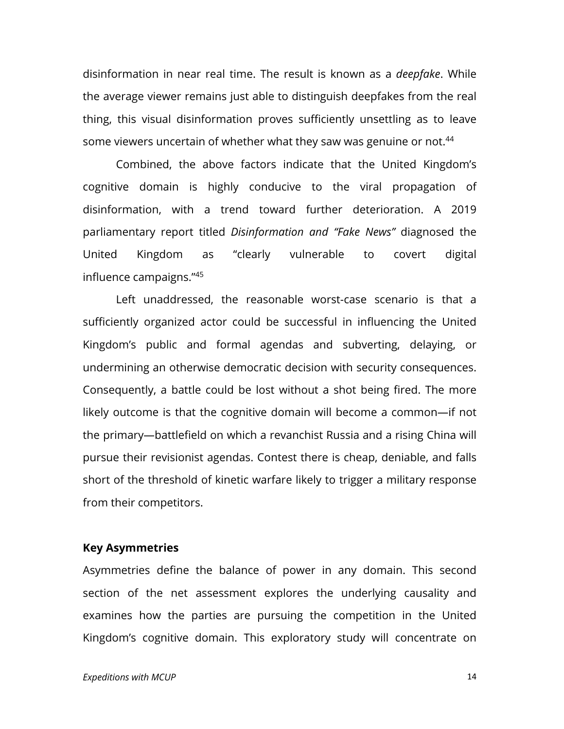disinformation in near real time. The result is known as a *deepfake*. While the average viewer remains just able to distinguish deepfakes from the real thing, this visual disinformation proves sufficiently unsettling as to leave some viewers uncertain of whether what they saw was genuine or not.<sup>44</sup>

Combined, the above factors indicate that the United Kingdom's cognitive domain is highly conducive to the viral propagation of disinformation, with a trend toward further deterioration. A 2019 parliamentary report titled *Disinformation and "Fake News"* diagnosed the United Kingdom as "clearly vulnerable to covert digital influence campaigns."45

Left unaddressed, the reasonable worst-case scenario is that a sufficiently organized actor could be successful in influencing the United Kingdom's public and formal agendas and subverting, delaying, or undermining an otherwise democratic decision with security consequences. Consequently, a battle could be lost without a shot being fired. The more likely outcome is that the cognitive domain will become a common—if not the primary—battlefield on which a revanchist Russia and a rising China will pursue their revisionist agendas. Contest there is cheap, deniable, and falls short of the threshold of kinetic warfare likely to trigger a military response from their competitors.

#### **Key Asymmetries**

Asymmetries define the balance of power in any domain. This second section of the net assessment explores the underlying causality and examines how the parties are pursuing the competition in the United Kingdom's cognitive domain. This exploratory study will concentrate on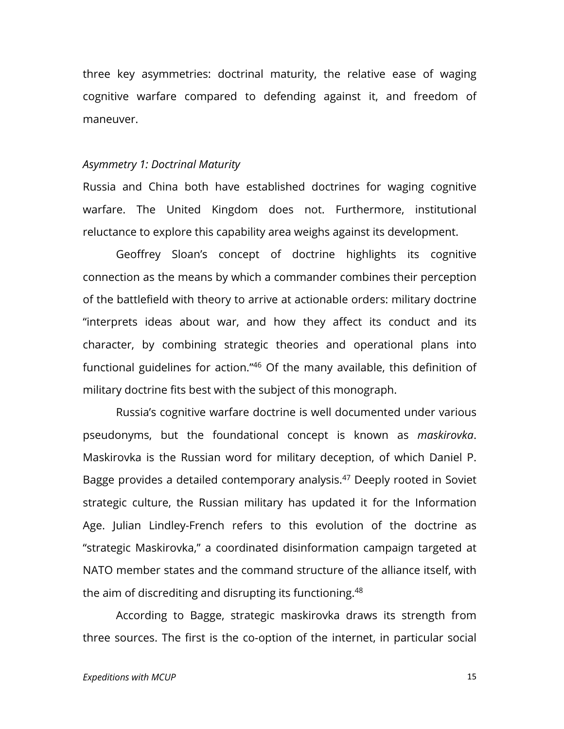three key asymmetries: doctrinal maturity, the relative ease of waging cognitive warfare compared to defending against it, and freedom of maneuver.

#### *Asymmetry 1: Doctrinal Maturity*

Russia and China both have established doctrines for waging cognitive warfare. The United Kingdom does not. Furthermore, institutional reluctance to explore this capability area weighs against its development.

Geoffrey Sloan's concept of doctrine highlights its cognitive connection as the means by which a commander combines their perception of the battlefield with theory to arrive at actionable orders: military doctrine "interprets ideas about war, and how they affect its conduct and its character, by combining strategic theories and operational plans into functional guidelines for action."46 Of the many available, this definition of military doctrine fits best with the subject of this monograph.

Russia's cognitive warfare doctrine is well documented under various pseudonyms, but the foundational concept is known as *maskirovka*. Maskirovka is the Russian word for military deception, of which Daniel P. Bagge provides a detailed contemporary analysis.<sup>47</sup> Deeply rooted in Soviet strategic culture, the Russian military has updated it for the Information Age. Julian Lindley-French refers to this evolution of the doctrine as "strategic Maskirovka," a coordinated disinformation campaign targeted at NATO member states and the command structure of the alliance itself, with the aim of discrediting and disrupting its functioning.<sup>48</sup>

According to Bagge, strategic maskirovka draws its strength from three sources. The first is the co-option of the internet, in particular social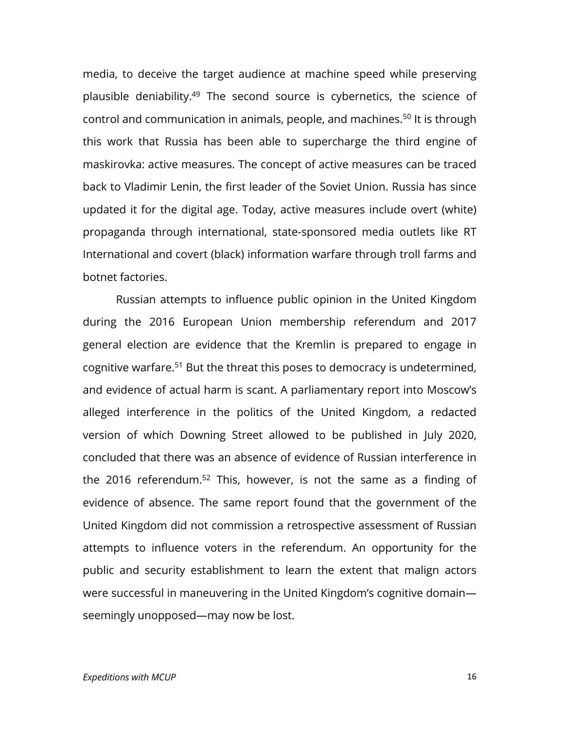media, to deceive the target audience at machine speed while preserving plausible deniability.49 The second source is cybernetics, the science of control and communication in animals, people, and machines.50 It is through this work that Russia has been able to supercharge the third engine of maskirovka: active measures. The concept of active measures can be traced back to Vladimir Lenin, the first leader of the Soviet Union. Russia has since updated it for the digital age. Today, active measures include overt (white) propaganda through international, state-sponsored media outlets like RT International and covert (black) information warfare through troll farms and botnet factories.

Russian attempts to influence public opinion in the United Kingdom during the 2016 European Union membership referendum and 2017 general election are evidence that the Kremlin is prepared to engage in cognitive warfare.51 But the threat this poses to democracy is undetermined, and evidence of actual harm is scant. A parliamentary report into Moscow's alleged interference in the politics of the United Kingdom, a redacted version of which Downing Street allowed to be published in July 2020, concluded that there was an absence of evidence of Russian interference in the 2016 referendum.<sup>52</sup> This, however, is not the same as a finding of evidence of absence. The same report found that the government of the United Kingdom did not commission a retrospective assessment of Russian attempts to influence voters in the referendum. An opportunity for the public and security establishment to learn the extent that malign actors were successful in maneuvering in the United Kingdom's cognitive domain seemingly unopposed—may now be lost.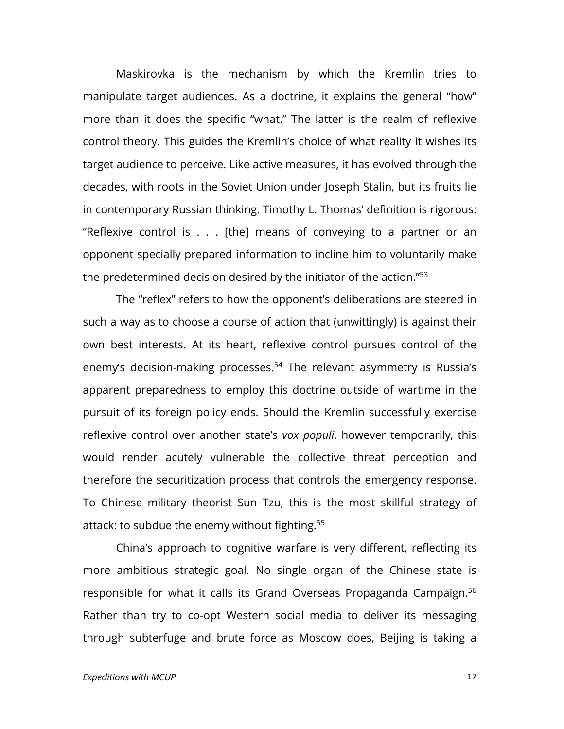Maskirovka is the mechanism by which the Kremlin tries to manipulate target audiences. As a doctrine, it explains the general "how" more than it does the specific "what." The latter is the realm of reflexive control theory. This guides the Kremlin's choice of what reality it wishes its target audience to perceive. Like active measures, it has evolved through the decades, with roots in the Soviet Union under Joseph Stalin, but its fruits lie in contemporary Russian thinking. Timothy L. Thomas' definition is rigorous: "Reflexive control is . . . [the] means of conveying to a partner or an opponent specially prepared information to incline him to voluntarily make the predetermined decision desired by the initiator of the action."53

The "reflex" refers to how the opponent's deliberations are steered in such a way as to choose a course of action that (unwittingly) is against their own best interests. At its heart, reflexive control pursues control of the enemy's decision-making processes.<sup>54</sup> The relevant asymmetry is Russia's apparent preparedness to employ this doctrine outside of wartime in the pursuit of its foreign policy ends. Should the Kremlin successfully exercise reflexive control over another state's *vox populi*, however temporarily, this would render acutely vulnerable the collective threat perception and therefore the securitization process that controls the emergency response. To Chinese military theorist Sun Tzu, this is the most skillful strategy of attack: to subdue the enemy without fighting.55

China's approach to cognitive warfare is very different, reflecting its more ambitious strategic goal. No single organ of the Chinese state is responsible for what it calls its Grand Overseas Propaganda Campaign.<sup>56</sup> Rather than try to co-opt Western social media to deliver its messaging through subterfuge and brute force as Moscow does, Beijing is taking a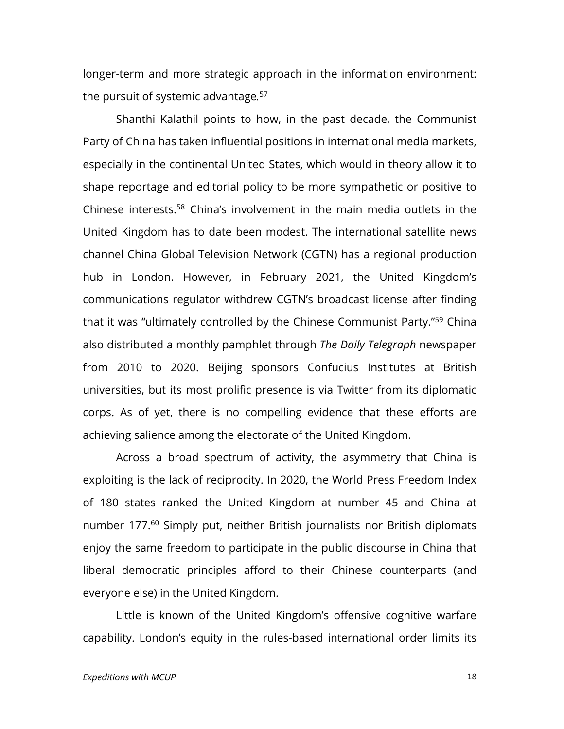longer-term and more strategic approach in the information environment: the pursuit of systemic advantage*.* 57

Shanthi Kalathil points to how, in the past decade, the Communist Party of China has taken influential positions in international media markets, especially in the continental United States, which would in theory allow it to shape reportage and editorial policy to be more sympathetic or positive to Chinese interests.58 China's involvement in the main media outlets in the United Kingdom has to date been modest. The international satellite news channel China Global Television Network (CGTN) has a regional production hub in London. However, in February 2021, the United Kingdom's communications regulator withdrew CGTN's broadcast license after finding that it was "ultimately controlled by the Chinese Communist Party."59 China also distributed a monthly pamphlet through *The Daily Telegraph* newspaper from 2010 to 2020. Beijing sponsors Confucius Institutes at British universities, but its most prolific presence is via Twitter from its diplomatic corps. As of yet, there is no compelling evidence that these efforts are achieving salience among the electorate of the United Kingdom.

Across a broad spectrum of activity, the asymmetry that China is exploiting is the lack of reciprocity. In 2020, the World Press Freedom Index of 180 states ranked the United Kingdom at number 45 and China at number 177.<sup>60</sup> Simply put, neither British journalists nor British diplomats enjoy the same freedom to participate in the public discourse in China that liberal democratic principles afford to their Chinese counterparts (and everyone else) in the United Kingdom.

Little is known of the United Kingdom's offensive cognitive warfare capability. London's equity in the rules-based international order limits its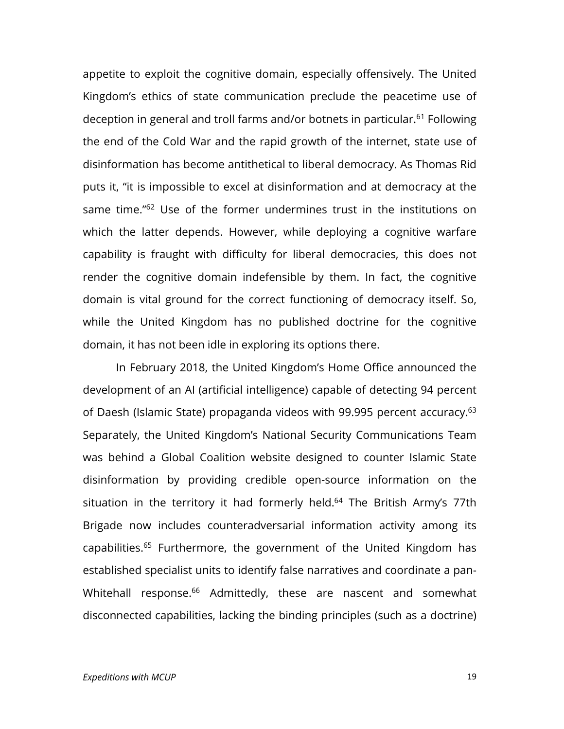appetite to exploit the cognitive domain, especially offensively. The United Kingdom's ethics of state communication preclude the peacetime use of deception in general and troll farms and/or botnets in particular.61 Following the end of the Cold War and the rapid growth of the internet, state use of disinformation has become antithetical to liberal democracy. As Thomas Rid puts it, "it is impossible to excel at disinformation and at democracy at the same time."<sup>62</sup> Use of the former undermines trust in the institutions on which the latter depends. However, while deploying a cognitive warfare capability is fraught with difficulty for liberal democracies, this does not render the cognitive domain indefensible by them. In fact, the cognitive domain is vital ground for the correct functioning of democracy itself. So, while the United Kingdom has no published doctrine for the cognitive domain, it has not been idle in exploring its options there.

In February 2018, the United Kingdom's Home Office announced the development of an AI (artificial intelligence) capable of detecting 94 percent of Daesh (Islamic State) propaganda videos with 99.995 percent accuracy.<sup>63</sup> Separately, the United Kingdom's National Security Communications Team was behind a Global Coalition website designed to counter Islamic State disinformation by providing credible open-source information on the situation in the territory it had formerly held.<sup>64</sup> The British Army's 77th Brigade now includes counteradversarial information activity among its capabilities.<sup>65</sup> Furthermore, the government of the United Kingdom has established specialist units to identify false narratives and coordinate a pan-Whitehall response.<sup>66</sup> Admittedly, these are nascent and somewhat disconnected capabilities, lacking the binding principles (such as a doctrine)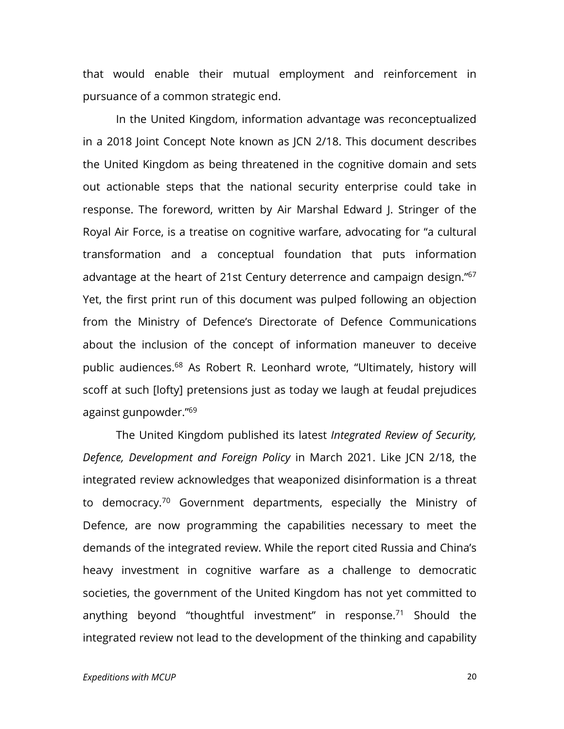that would enable their mutual employment and reinforcement in pursuance of a common strategic end.

In the United Kingdom, information advantage was reconceptualized in a 2018 Joint Concept Note known as JCN 2/18. This document describes the United Kingdom as being threatened in the cognitive domain and sets out actionable steps that the national security enterprise could take in response. The foreword, written by Air Marshal Edward J. Stringer of the Royal Air Force, is a treatise on cognitive warfare, advocating for "a cultural transformation and a conceptual foundation that puts information advantage at the heart of 21st Century deterrence and campaign design."<sup>67</sup> Yet, the first print run of this document was pulped following an objection from the Ministry of Defence's Directorate of Defence Communications about the inclusion of the concept of information maneuver to deceive public audiences.68 As Robert R. Leonhard wrote, "Ultimately, history will scoff at such [lofty] pretensions just as today we laugh at feudal prejudices against gunpowder."69

The United Kingdom published its latest *Integrated Review of Security, Defence, Development and Foreign Policy* in March 2021. Like JCN 2/18, the integrated review acknowledges that weaponized disinformation is a threat to democracy.70 Government departments, especially the Ministry of Defence, are now programming the capabilities necessary to meet the demands of the integrated review. While the report cited Russia and China's heavy investment in cognitive warfare as a challenge to democratic societies, the government of the United Kingdom has not yet committed to anything beyond "thoughtful investment" in response.<sup>71</sup> Should the integrated review not lead to the development of the thinking and capability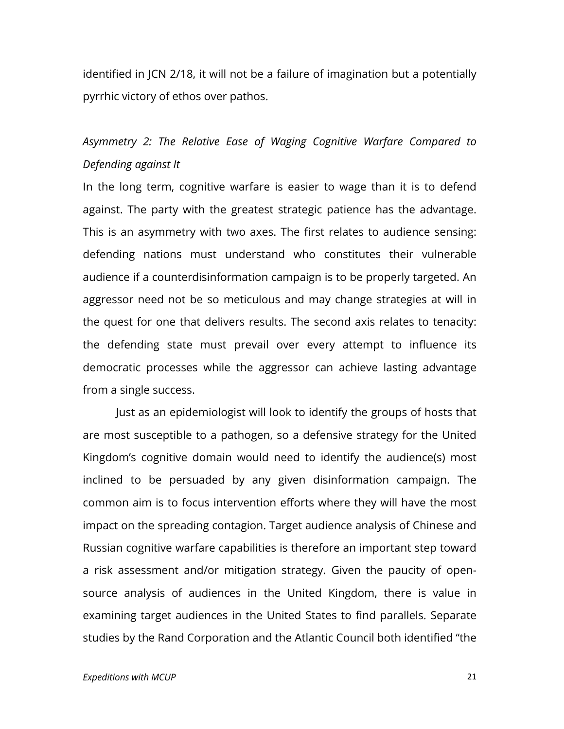identified in JCN 2/18, it will not be a failure of imagination but a potentially pyrrhic victory of ethos over pathos.

## *Asymmetry 2: The Relative Ease of Waging Cognitive Warfare Compared to Defending against It*

In the long term, cognitive warfare is easier to wage than it is to defend against. The party with the greatest strategic patience has the advantage. This is an asymmetry with two axes. The first relates to audience sensing: defending nations must understand who constitutes their vulnerable audience if a counterdisinformation campaign is to be properly targeted. An aggressor need not be so meticulous and may change strategies at will in the quest for one that delivers results. The second axis relates to tenacity: the defending state must prevail over every attempt to influence its democratic processes while the aggressor can achieve lasting advantage from a single success.

Just as an epidemiologist will look to identify the groups of hosts that are most susceptible to a pathogen, so a defensive strategy for the United Kingdom's cognitive domain would need to identify the audience(s) most inclined to be persuaded by any given disinformation campaign. The common aim is to focus intervention efforts where they will have the most impact on the spreading contagion. Target audience analysis of Chinese and Russian cognitive warfare capabilities is therefore an important step toward a risk assessment and/or mitigation strategy. Given the paucity of opensource analysis of audiences in the United Kingdom, there is value in examining target audiences in the United States to find parallels. Separate studies by the Rand Corporation and the Atlantic Council both identified "the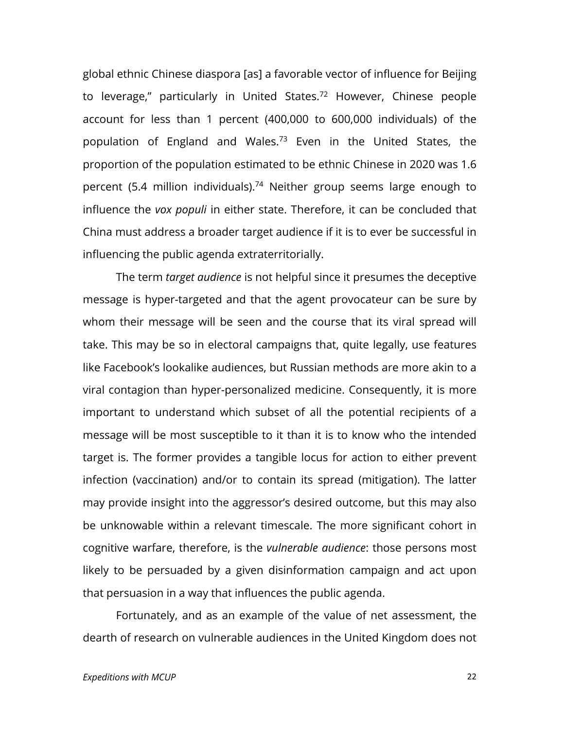global ethnic Chinese diaspora [as] a favorable vector of influence for Beijing to leverage," particularly in United States.<sup>72</sup> However, Chinese people account for less than 1 percent (400,000 to 600,000 individuals) of the population of England and Wales.73 Even in the United States, the proportion of the population estimated to be ethnic Chinese in 2020 was 1.6 percent (5.4 million individuals).74 Neither group seems large enough to influence the *vox populi* in either state. Therefore, it can be concluded that China must address a broader target audience if it is to ever be successful in influencing the public agenda extraterritorially.

The term *target audience* is not helpful since it presumes the deceptive message is hyper-targeted and that the agent provocateur can be sure by whom their message will be seen and the course that its viral spread will take. This may be so in electoral campaigns that, quite legally, use features like Facebook's lookalike audiences, but Russian methods are more akin to a viral contagion than hyper-personalized medicine. Consequently, it is more important to understand which subset of all the potential recipients of a message will be most susceptible to it than it is to know who the intended target is. The former provides a tangible locus for action to either prevent infection (vaccination) and/or to contain its spread (mitigation). The latter may provide insight into the aggressor's desired outcome, but this may also be unknowable within a relevant timescale. The more significant cohort in cognitive warfare, therefore, is the *vulnerable audience*: those persons most likely to be persuaded by a given disinformation campaign and act upon that persuasion in a way that influences the public agenda.

Fortunately, and as an example of the value of net assessment, the dearth of research on vulnerable audiences in the United Kingdom does not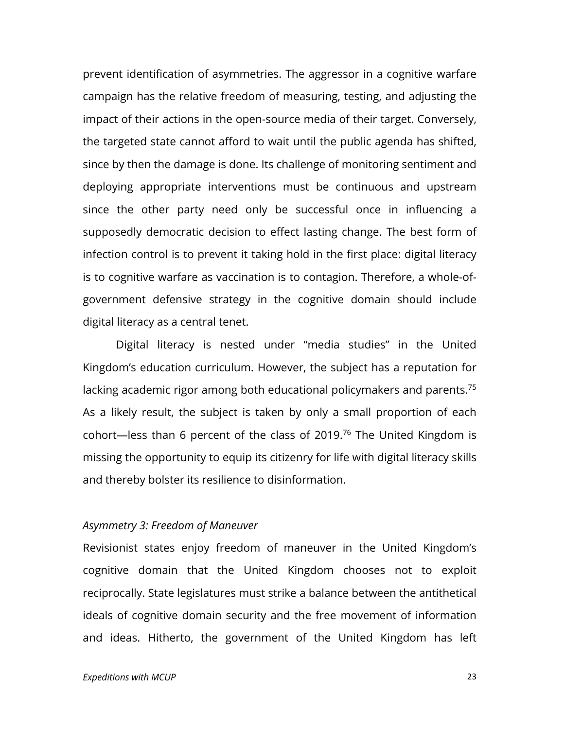prevent identification of asymmetries. The aggressor in a cognitive warfare campaign has the relative freedom of measuring, testing, and adjusting the impact of their actions in the open-source media of their target. Conversely, the targeted state cannot afford to wait until the public agenda has shifted, since by then the damage is done. Its challenge of monitoring sentiment and deploying appropriate interventions must be continuous and upstream since the other party need only be successful once in influencing a supposedly democratic decision to effect lasting change. The best form of infection control is to prevent it taking hold in the first place: digital literacy is to cognitive warfare as vaccination is to contagion. Therefore, a whole-ofgovernment defensive strategy in the cognitive domain should include digital literacy as a central tenet.

Digital literacy is nested under "media studies" in the United Kingdom's education curriculum. However, the subject has a reputation for lacking academic rigor among both educational policymakers and parents.<sup>75</sup> As a likely result, the subject is taken by only a small proportion of each cohort—less than 6 percent of the class of 2019.76 The United Kingdom is missing the opportunity to equip its citizenry for life with digital literacy skills and thereby bolster its resilience to disinformation.

#### *Asymmetry 3: Freedom of Maneuver*

Revisionist states enjoy freedom of maneuver in the United Kingdom's cognitive domain that the United Kingdom chooses not to exploit reciprocally. State legislatures must strike a balance between the antithetical ideals of cognitive domain security and the free movement of information and ideas. Hitherto, the government of the United Kingdom has left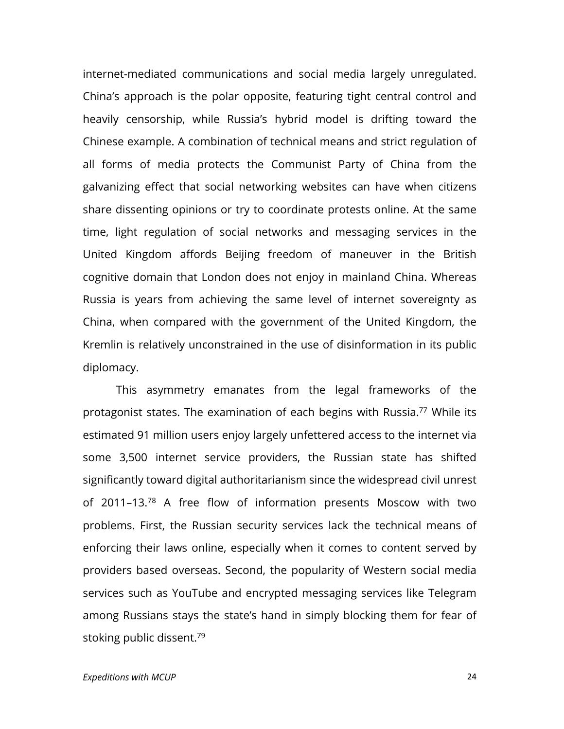internet-mediated communications and social media largely unregulated. China's approach is the polar opposite, featuring tight central control and heavily censorship, while Russia's hybrid model is drifting toward the Chinese example. A combination of technical means and strict regulation of all forms of media protects the Communist Party of China from the galvanizing effect that social networking websites can have when citizens share dissenting opinions or try to coordinate protests online. At the same time, light regulation of social networks and messaging services in the United Kingdom affords Beijing freedom of maneuver in the British cognitive domain that London does not enjoy in mainland China. Whereas Russia is years from achieving the same level of internet sovereignty as China, when compared with the government of the United Kingdom, the Kremlin is relatively unconstrained in the use of disinformation in its public diplomacy.

This asymmetry emanates from the legal frameworks of the protagonist states. The examination of each begins with Russia.<sup>77</sup> While its estimated 91 million users enjoy largely unfettered access to the internet via some 3,500 internet service providers, the Russian state has shifted significantly toward digital authoritarianism since the widespread civil unrest of 2011–13.78 A free flow of information presents Moscow with two problems. First, the Russian security services lack the technical means of enforcing their laws online, especially when it comes to content served by providers based overseas. Second, the popularity of Western social media services such as YouTube and encrypted messaging services like Telegram among Russians stays the state's hand in simply blocking them for fear of stoking public dissent.<sup>79</sup>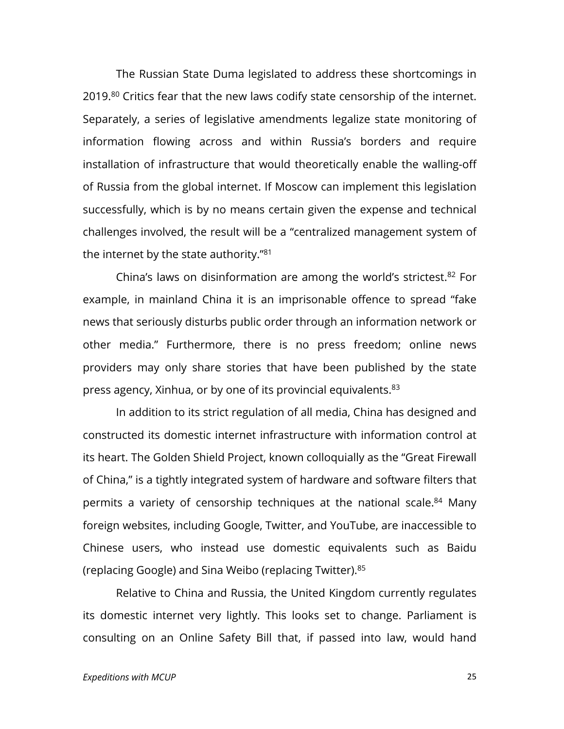The Russian State Duma legislated to address these shortcomings in 2019.<sup>80</sup> Critics fear that the new laws codify state censorship of the internet. Separately, a series of legislative amendments legalize state monitoring of information flowing across and within Russia's borders and require installation of infrastructure that would theoretically enable the walling-off of Russia from the global internet. If Moscow can implement this legislation successfully, which is by no means certain given the expense and technical challenges involved, the result will be a "centralized management system of the internet by the state authority."<sup>81</sup>

China's laws on disinformation are among the world's strictest. $82$  For example, in mainland China it is an imprisonable offence to spread "fake news that seriously disturbs public order through an information network or other media." Furthermore, there is no press freedom; online news providers may only share stories that have been published by the state press agency, Xinhua, or by one of its provincial equivalents.<sup>83</sup>

In addition to its strict regulation of all media, China has designed and constructed its domestic internet infrastructure with information control at its heart. The Golden Shield Project, known colloquially as the "Great Firewall of China," is a tightly integrated system of hardware and software filters that permits a variety of censorship techniques at the national scale.<sup>84</sup> Many foreign websites, including Google, Twitter, and YouTube, are inaccessible to Chinese users, who instead use domestic equivalents such as Baidu (replacing Google) and Sina Weibo (replacing Twitter).85

Relative to China and Russia, the United Kingdom currently regulates its domestic internet very lightly. This looks set to change. Parliament is consulting on an Online Safety Bill that, if passed into law, would hand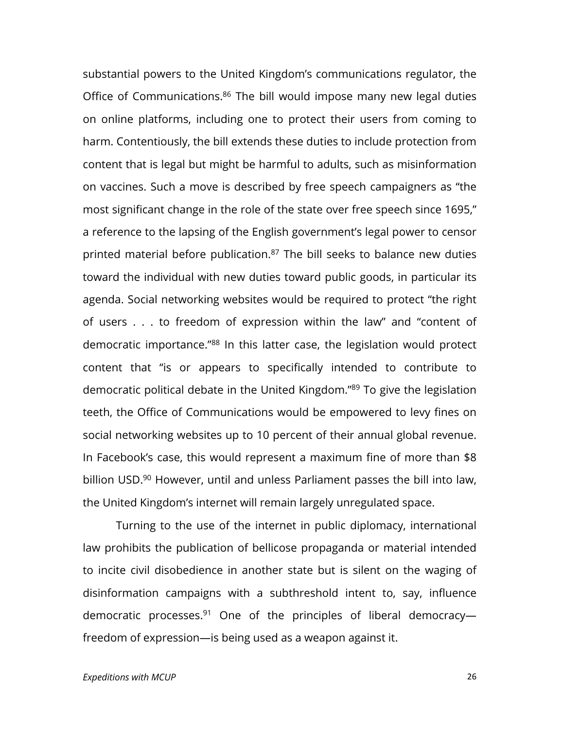substantial powers to the United Kingdom's communications regulator, the Office of Communications.<sup>86</sup> The bill would impose many new legal duties on online platforms, including one to protect their users from coming to harm. Contentiously, the bill extends these duties to include protection from content that is legal but might be harmful to adults, such as misinformation on vaccines. Such a move is described by free speech campaigners as "the most significant change in the role of the state over free speech since 1695," a reference to the lapsing of the English government's legal power to censor printed material before publication.<sup>87</sup> The bill seeks to balance new duties toward the individual with new duties toward public goods, in particular its agenda. Social networking websites would be required to protect "the right of users . . . to freedom of expression within the law" and "content of democratic importance."88 In this latter case, the legislation would protect content that "is or appears to specifically intended to contribute to democratic political debate in the United Kingdom."89 To give the legislation teeth, the Office of Communications would be empowered to levy fines on social networking websites up to 10 percent of their annual global revenue. In Facebook's case, this would represent a maximum fine of more than \$8 billion USD.<sup>90</sup> However, until and unless Parliament passes the bill into law, the United Kingdom's internet will remain largely unregulated space.

Turning to the use of the internet in public diplomacy, international law prohibits the publication of bellicose propaganda or material intended to incite civil disobedience in another state but is silent on the waging of disinformation campaigns with a subthreshold intent to, say, influence democratic processes.<sup>91</sup> One of the principles of liberal democracyfreedom of expression—is being used as a weapon against it.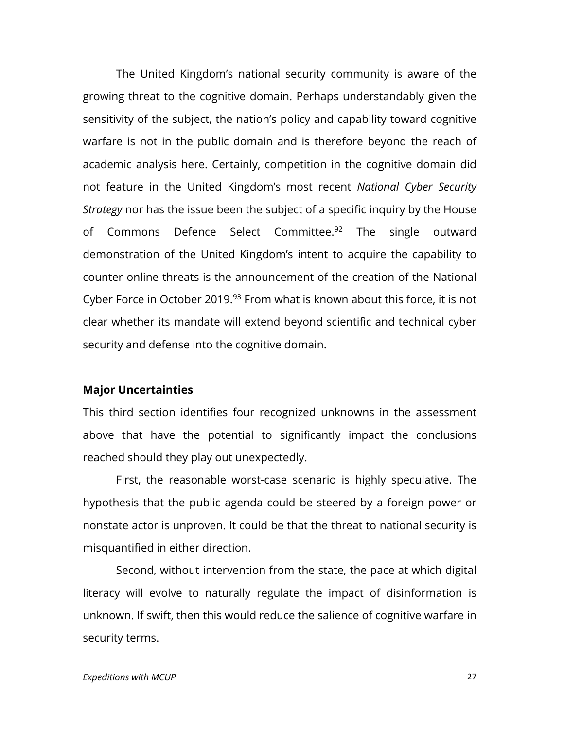The United Kingdom's national security community is aware of the growing threat to the cognitive domain. Perhaps understandably given the sensitivity of the subject, the nation's policy and capability toward cognitive warfare is not in the public domain and is therefore beyond the reach of academic analysis here. Certainly, competition in the cognitive domain did not feature in the United Kingdom's most recent *National Cyber Security Strategy* nor has the issue been the subject of a specific inquiry by the House of Commons Defence Select Committee.<sup>92</sup> The single outward demonstration of the United Kingdom's intent to acquire the capability to counter online threats is the announcement of the creation of the National Cyber Force in October 2019.<sup>93</sup> From what is known about this force, it is not clear whether its mandate will extend beyond scientific and technical cyber security and defense into the cognitive domain.

#### **Major Uncertainties**

This third section identifies four recognized unknowns in the assessment above that have the potential to significantly impact the conclusions reached should they play out unexpectedly.

First, the reasonable worst-case scenario is highly speculative. The hypothesis that the public agenda could be steered by a foreign power or nonstate actor is unproven. It could be that the threat to national security is misquantified in either direction.

Second, without intervention from the state, the pace at which digital literacy will evolve to naturally regulate the impact of disinformation is unknown. If swift, then this would reduce the salience of cognitive warfare in security terms.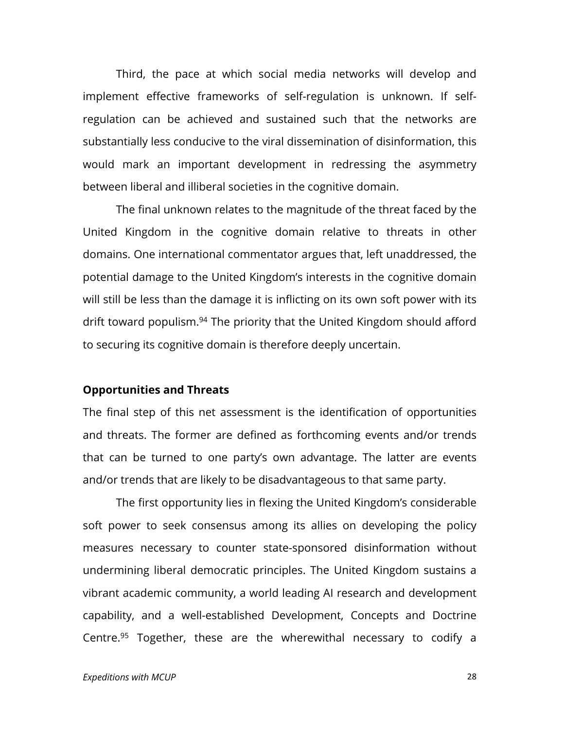Third, the pace at which social media networks will develop and implement effective frameworks of self-regulation is unknown. If selfregulation can be achieved and sustained such that the networks are substantially less conducive to the viral dissemination of disinformation, this would mark an important development in redressing the asymmetry between liberal and illiberal societies in the cognitive domain.

The final unknown relates to the magnitude of the threat faced by the United Kingdom in the cognitive domain relative to threats in other domains. One international commentator argues that, left unaddressed, the potential damage to the United Kingdom's interests in the cognitive domain will still be less than the damage it is inflicting on its own soft power with its drift toward populism.<sup>94</sup> The priority that the United Kingdom should afford to securing its cognitive domain is therefore deeply uncertain.

#### **Opportunities and Threats**

The final step of this net assessment is the identification of opportunities and threats. The former are defined as forthcoming events and/or trends that can be turned to one party's own advantage. The latter are events and/or trends that are likely to be disadvantageous to that same party.

The first opportunity lies in flexing the United Kingdom's considerable soft power to seek consensus among its allies on developing the policy measures necessary to counter state-sponsored disinformation without undermining liberal democratic principles. The United Kingdom sustains a vibrant academic community, a world leading AI research and development capability, and a well-established Development, Concepts and Doctrine Centre.<sup>95</sup> Together, these are the wherewithal necessary to codify a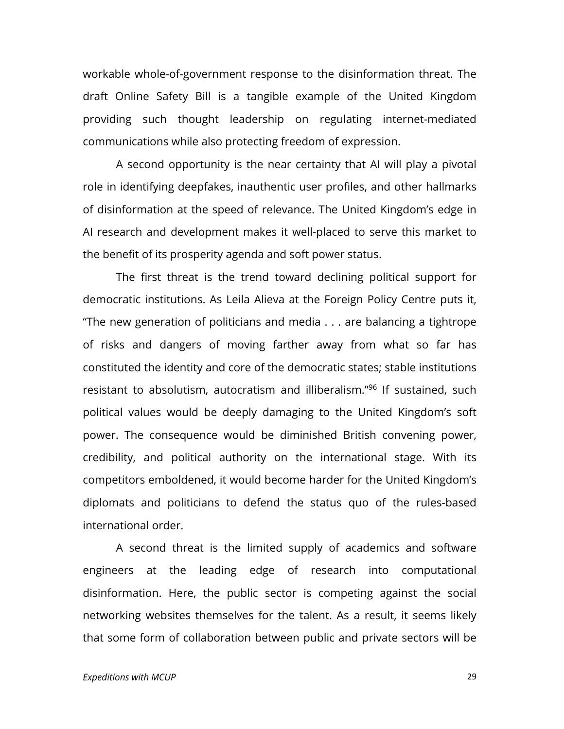workable whole-of-government response to the disinformation threat. The draft Online Safety Bill is a tangible example of the United Kingdom providing such thought leadership on regulating internet-mediated communications while also protecting freedom of expression.

A second opportunity is the near certainty that AI will play a pivotal role in identifying deepfakes, inauthentic user profiles, and other hallmarks of disinformation at the speed of relevance. The United Kingdom's edge in AI research and development makes it well-placed to serve this market to the benefit of its prosperity agenda and soft power status.

The first threat is the trend toward declining political support for democratic institutions. As Leila Alieva at the Foreign Policy Centre puts it, "The new generation of politicians and media . . . are balancing a tightrope of risks and dangers of moving farther away from what so far has constituted the identity and core of the democratic states; stable institutions resistant to absolutism, autocratism and illiberalism."96 If sustained, such political values would be deeply damaging to the United Kingdom's soft power. The consequence would be diminished British convening power, credibility, and political authority on the international stage. With its competitors emboldened, it would become harder for the United Kingdom's diplomats and politicians to defend the status quo of the rules-based international order.

A second threat is the limited supply of academics and software engineers at the leading edge of research into computational disinformation. Here, the public sector is competing against the social networking websites themselves for the talent. As a result, it seems likely that some form of collaboration between public and private sectors will be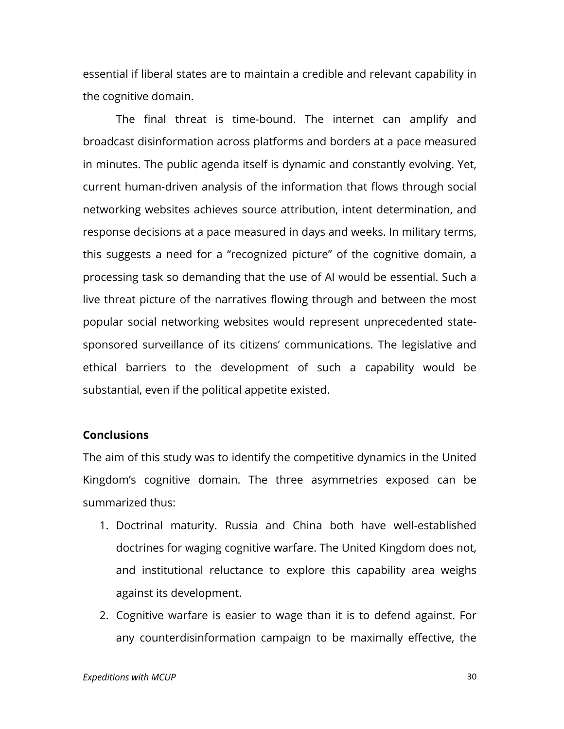essential if liberal states are to maintain a credible and relevant capability in the cognitive domain.

The final threat is time-bound. The internet can amplify and broadcast disinformation across platforms and borders at a pace measured in minutes. The public agenda itself is dynamic and constantly evolving. Yet, current human-driven analysis of the information that flows through social networking websites achieves source attribution, intent determination, and response decisions at a pace measured in days and weeks. In military terms, this suggests a need for a "recognized picture" of the cognitive domain, a processing task so demanding that the use of AI would be essential. Such a live threat picture of the narratives flowing through and between the most popular social networking websites would represent unprecedented statesponsored surveillance of its citizens' communications. The legislative and ethical barriers to the development of such a capability would be substantial, even if the political appetite existed.

#### **Conclusions**

The aim of this study was to identify the competitive dynamics in the United Kingdom's cognitive domain. The three asymmetries exposed can be summarized thus:

- 1. Doctrinal maturity. Russia and China both have well-established doctrines for waging cognitive warfare. The United Kingdom does not, and institutional reluctance to explore this capability area weighs against its development.
- 2. Cognitive warfare is easier to wage than it is to defend against. For any counterdisinformation campaign to be maximally effective, the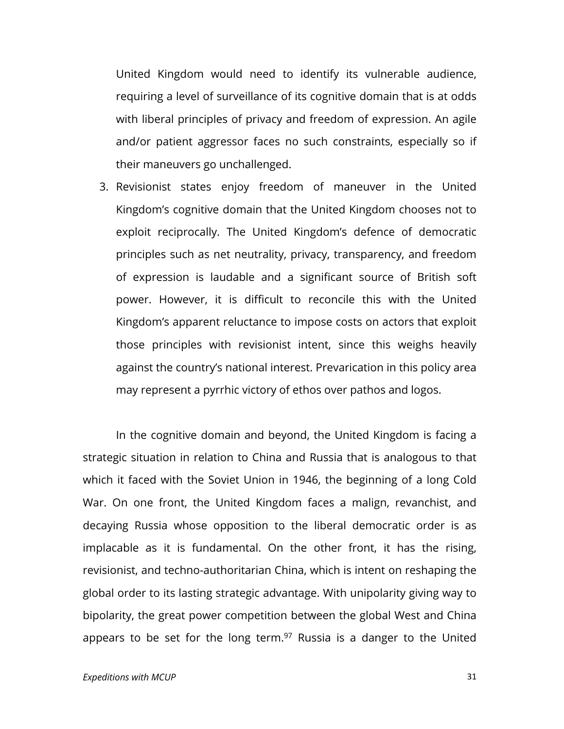United Kingdom would need to identify its vulnerable audience, requiring a level of surveillance of its cognitive domain that is at odds with liberal principles of privacy and freedom of expression. An agile and/or patient aggressor faces no such constraints, especially so if their maneuvers go unchallenged.

3. Revisionist states enjoy freedom of maneuver in the United Kingdom's cognitive domain that the United Kingdom chooses not to exploit reciprocally. The United Kingdom's defence of democratic principles such as net neutrality, privacy, transparency, and freedom of expression is laudable and a significant source of British soft power. However, it is difficult to reconcile this with the United Kingdom's apparent reluctance to impose costs on actors that exploit those principles with revisionist intent, since this weighs heavily against the country's national interest. Prevarication in this policy area may represent a pyrrhic victory of ethos over pathos and logos.

In the cognitive domain and beyond, the United Kingdom is facing a strategic situation in relation to China and Russia that is analogous to that which it faced with the Soviet Union in 1946, the beginning of a long Cold War. On one front, the United Kingdom faces a malign, revanchist, and decaying Russia whose opposition to the liberal democratic order is as implacable as it is fundamental. On the other front, it has the rising, revisionist, and techno-authoritarian China, which is intent on reshaping the global order to its lasting strategic advantage. With unipolarity giving way to bipolarity, the great power competition between the global West and China appears to be set for the long term. $97$  Russia is a danger to the United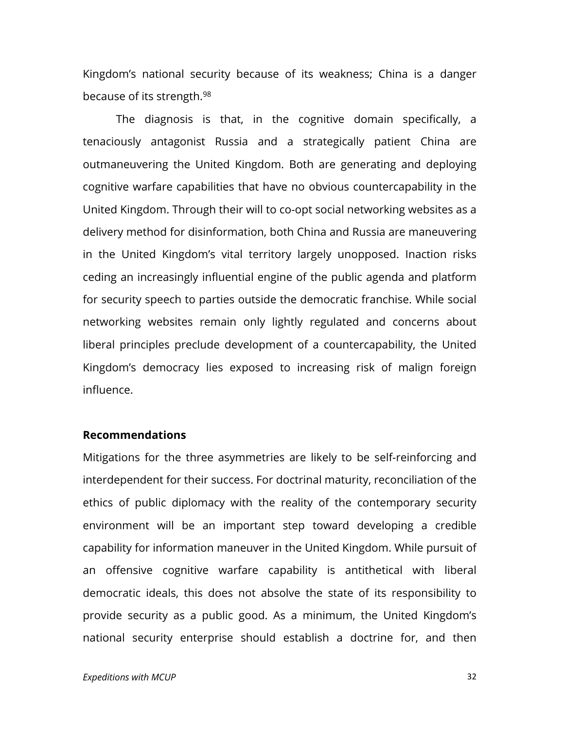Kingdom's national security because of its weakness; China is a danger because of its strength.98

The diagnosis is that, in the cognitive domain specifically, a tenaciously antagonist Russia and a strategically patient China are outmaneuvering the United Kingdom. Both are generating and deploying cognitive warfare capabilities that have no obvious countercapability in the United Kingdom. Through their will to co-opt social networking websites as a delivery method for disinformation, both China and Russia are maneuvering in the United Kingdom's vital territory largely unopposed. Inaction risks ceding an increasingly influential engine of the public agenda and platform for security speech to parties outside the democratic franchise. While social networking websites remain only lightly regulated and concerns about liberal principles preclude development of a countercapability, the United Kingdom's democracy lies exposed to increasing risk of malign foreign influence.

#### **Recommendations**

Mitigations for the three asymmetries are likely to be self-reinforcing and interdependent for their success. For doctrinal maturity, reconciliation of the ethics of public diplomacy with the reality of the contemporary security environment will be an important step toward developing a credible capability for information maneuver in the United Kingdom. While pursuit of an offensive cognitive warfare capability is antithetical with liberal democratic ideals, this does not absolve the state of its responsibility to provide security as a public good. As a minimum, the United Kingdom's national security enterprise should establish a doctrine for, and then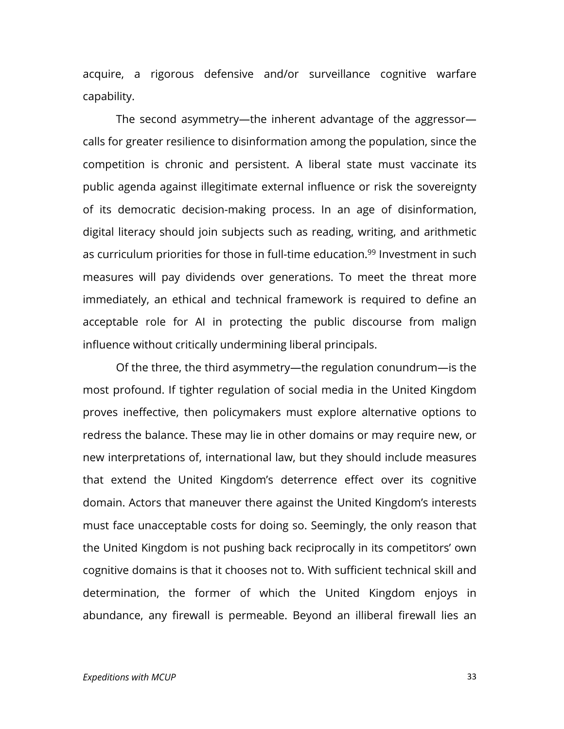acquire, a rigorous defensive and/or surveillance cognitive warfare capability.

The second asymmetry—the inherent advantage of the aggressor calls for greater resilience to disinformation among the population, since the competition is chronic and persistent. A liberal state must vaccinate its public agenda against illegitimate external influence or risk the sovereignty of its democratic decision-making process. In an age of disinformation, digital literacy should join subjects such as reading, writing, and arithmetic as curriculum priorities for those in full-time education.<sup>99</sup> Investment in such measures will pay dividends over generations. To meet the threat more immediately, an ethical and technical framework is required to define an acceptable role for AI in protecting the public discourse from malign influence without critically undermining liberal principals.

Of the three, the third asymmetry—the regulation conundrum—is the most profound. If tighter regulation of social media in the United Kingdom proves ineffective, then policymakers must explore alternative options to redress the balance. These may lie in other domains or may require new, or new interpretations of, international law, but they should include measures that extend the United Kingdom's deterrence effect over its cognitive domain. Actors that maneuver there against the United Kingdom's interests must face unacceptable costs for doing so. Seemingly, the only reason that the United Kingdom is not pushing back reciprocally in its competitors' own cognitive domains is that it chooses not to. With sufficient technical skill and determination, the former of which the United Kingdom enjoys in abundance, any firewall is permeable. Beyond an illiberal firewall lies an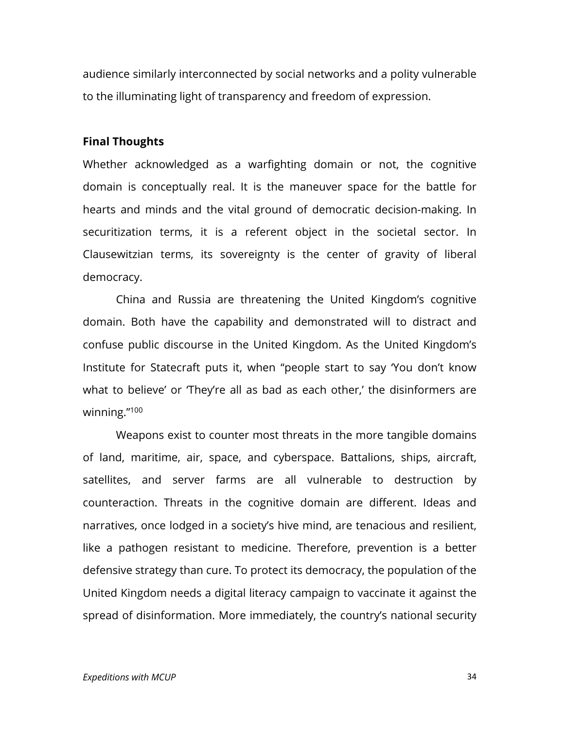audience similarly interconnected by social networks and a polity vulnerable to the illuminating light of transparency and freedom of expression.

#### **Final Thoughts**

Whether acknowledged as a warfighting domain or not, the cognitive domain is conceptually real. It is the maneuver space for the battle for hearts and minds and the vital ground of democratic decision-making. In securitization terms, it is a referent object in the societal sector. In Clausewitzian terms, its sovereignty is the center of gravity of liberal democracy.

China and Russia are threatening the United Kingdom's cognitive domain. Both have the capability and demonstrated will to distract and confuse public discourse in the United Kingdom. As the United Kingdom's Institute for Statecraft puts it, when "people start to say 'You don't know what to believe' or 'They're all as bad as each other,' the disinformers are winning."100

Weapons exist to counter most threats in the more tangible domains of land, maritime, air, space, and cyberspace. Battalions, ships, aircraft, satellites, and server farms are all vulnerable to destruction by counteraction. Threats in the cognitive domain are different. Ideas and narratives, once lodged in a society's hive mind, are tenacious and resilient, like a pathogen resistant to medicine. Therefore, prevention is a better defensive strategy than cure. To protect its democracy, the population of the United Kingdom needs a digital literacy campaign to vaccinate it against the spread of disinformation. More immediately, the country's national security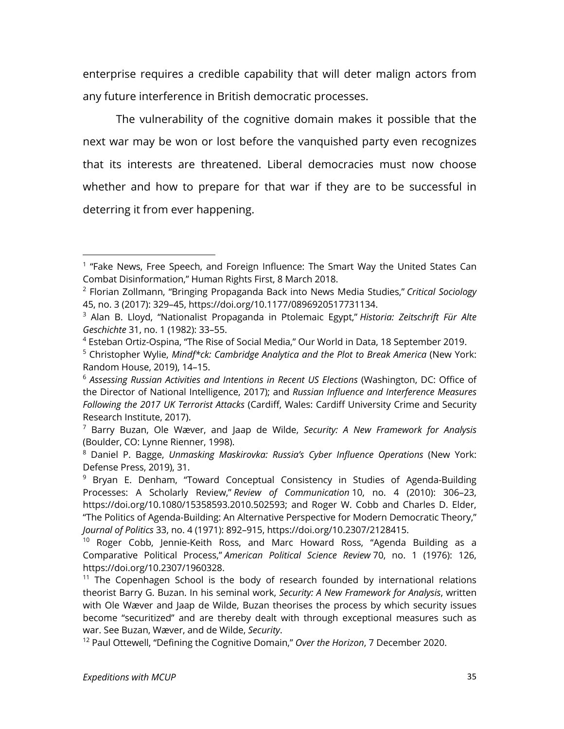enterprise requires a credible capability that will deter malign actors from any future interference in British democratic processes.

The vulnerability of the cognitive domain makes it possible that the next war may be won or lost before the vanquished party even recognizes that its interests are threatened. Liberal democracies must now choose whether and how to prepare for that war if they are to be successful in deterring it from ever happening.

 $1$  "Fake News, Free Speech, and Foreign Influence: The Smart Way the United States Can Combat Disinformation," Human Rights First, 8 March 2018.

<sup>2</sup> Florian Zollmann, "Bringing Propaganda Back into News Media Studies," *Critical Sociology*  45, no. 3 (2017): 329–45, https://doi.org/10.1177/0896920517731134.

<sup>3</sup> Alan B. Lloyd, "Nationalist Propaganda in Ptolemaic Egypt," *Historia: Zeitschrift Für Alte Geschichte* 31, no. 1 (1982): 33–55.

<sup>4</sup> Esteban Ortiz-Ospina, "The Rise of Social Media," Our World in Data, 18 September 2019.

<sup>5</sup> Christopher Wylie, *Mindf\*ck: Cambridge Analytica and the Plot to Break America* (New York: Random House, 2019), 14–15.

<sup>6</sup> *Assessing Russian Activities and Intentions in Recent US Elections* (Washington, DC: Office of the Director of National Intelligence, 2017); and *Russian Influence and Interference Measures Following the 2017 UK Terrorist Attacks* (Cardiff, Wales: Cardiff University Crime and Security Research Institute, 2017).

<sup>7</sup> Barry Buzan, Ole Wæver, and Jaap de Wilde, *Security: A New Framework for Analysis* (Boulder, CO: Lynne Rienner, 1998).

<sup>8</sup> Daniel P. Bagge, *Unmasking Maskirovka: Russia's Cyber Influence Operations* (New York: Defense Press, 2019), 31.

<sup>&</sup>lt;sup>9</sup> Bryan E. Denham, "Toward Conceptual Consistency in Studies of Agenda-Building Processes: A Scholarly Review," *Review of Communication* 10, no. 4 (2010): 306–23, https://doi.org/10.1080/15358593.2010.502593; and Roger W. Cobb and Charles D. Elder, "The Politics of Agenda-Building: An Alternative Perspective for Modern Democratic Theory," *Journal of Politics* 33, no. 4 (1971): 892–915, https://doi.org/10.2307/2128415.

<sup>&</sup>lt;sup>10</sup> Roger Cobb, Jennie-Keith Ross, and Marc Howard Ross, "Agenda Building as a Comparative Political Process," *American Political Science Review* 70, no. 1 (1976): 126, https://doi.org/10.2307/1960328.

 $11$  The Copenhagen School is the body of research founded by international relations theorist Barry G. Buzan. In his seminal work, *Security: A New Framework for Analysis*, written with Ole Wæver and Jaap de Wilde, Buzan theorises the process by which security issues become "securitized" and are thereby dealt with through exceptional measures such as war. See Buzan, Wæver, and de Wilde, *Security*.

<sup>12</sup> Paul Ottewell, "Defining the Cognitive Domain," *Over the Horizon*, 7 December 2020.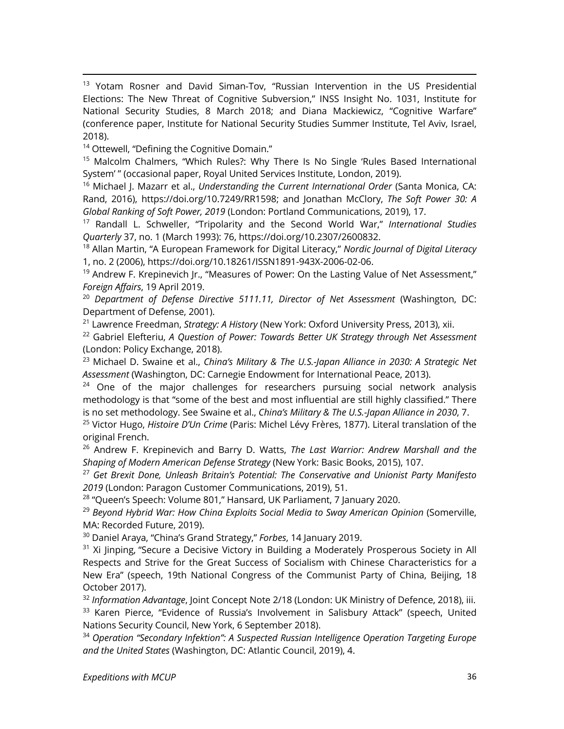<sup>13</sup> Yotam Rosner and David Siman-Tov, "Russian Intervention in the US Presidential Elections: The New Threat of Cognitive Subversion," INSS Insight No. 1031, Institute for National Security Studies, 8 March 2018; and Diana Mackiewicz, "Cognitive Warfare" (conference paper, Institute for National Security Studies Summer Institute, Tel Aviv, Israel, 2018).

<sup>14</sup> Ottewell, "Defining the Cognitive Domain."

<sup>15</sup> Malcolm Chalmers, "Which Rules?: Why There Is No Single 'Rules Based International System' " (occasional paper, Royal United Services Institute, London, 2019).

<sup>16</sup> Michael J. Mazarr et al., *Understanding the Current International Order* (Santa Monica, CA: Rand, 2016), https://doi.org/10.7249/RR1598; and Jonathan McClory, *The Soft Power 30: A Global Ranking of Soft Power, 2019* (London: Portland Communications, 2019), 17.

<sup>17</sup> Randall L. Schweller, "Tripolarity and the Second World War," *International Studies Quarterly* 37, no. 1 (March 1993): 76, https://doi.org/10.2307/2600832.

<sup>18</sup> Allan Martin, "A European Framework for Digital Literacy," *Nordic Journal of Digital Literacy* 1, no. 2 (2006), https://doi.org/10.18261/ISSN1891-943X-2006-02-06.

 $19$  Andrew F. Krepinevich Jr., "Measures of Power: On the Lasting Value of Net Assessment," *Foreign Affairs*, 19 April 2019.

<sup>20</sup> *Department of Defense Directive 5111.11, Director of Net Assessment* (Washington, DC: Department of Defense, 2001).

<sup>21</sup> Lawrence Freedman, *Strategy: A History* (New York: Oxford University Press, 2013), xii.

<sup>22</sup> Gabriel Elefteriu, *A Question of Power: Towards Better UK Strategy through Net Assessment* (London: Policy Exchange, 2018).

<sup>23</sup> Michael D. Swaine et al., *China's Military & The U.S.-Japan Alliance in 2030: A Strategic Net Assessment* (Washington, DC: Carnegie Endowment for International Peace, 2013).

 $24$  One of the major challenges for researchers pursuing social network analysis methodology is that "some of the best and most influential are still highly classified." There is no set methodology. See Swaine et al., *China's Military & The U.S.-Japan Alliance in 2030*, 7.

<sup>25</sup> Victor Hugo, *Histoire D'Un Crime* (Paris: Michel Lévy Frères, 1877). Literal translation of the original French.

<sup>26</sup> Andrew F. Krepinevich and Barry D. Watts, *The Last Warrior: Andrew Marshall and the Shaping of Modern American Defense Strategy* (New York: Basic Books, 2015), 107.

<sup>27</sup> *Get Brexit Done, Unleash Britain's Potential: The Conservative and Unionist Party Manifesto 2019* (London: Paragon Customer Communications, 2019), 51.

<sup>28</sup> "Queen's Speech: Volume 801," Hansard, UK Parliament, 7 January 2020.

<sup>29</sup> Beyond Hybrid War: How China Exploits Social Media to Sway American Opinion (Somerville, MA: Recorded Future, 2019).

<sup>30</sup> Daniel Araya, "China's Grand Strategy," *Forbes*, 14 January 2019.

<sup>31</sup> Xi Jinping, "Secure a Decisive Victory in Building a Moderately Prosperous Society in All Respects and Strive for the Great Success of Socialism with Chinese Characteristics for a New Era" (speech, 19th National Congress of the Communist Party of China, Beijing, 18 October 2017).

<sup>32</sup> *Information Advantage*, Joint Concept Note 2/18 (London: UK Ministry of Defence, 2018), iii. <sup>33</sup> Karen Pierce, "Evidence of Russia's Involvement in Salisbury Attack" (speech, United Nations Security Council, New York, 6 September 2018).

<sup>34</sup> *Operation "Secondary Infektion": A Suspected Russian Intelligence Operation Targeting Europe and the United States* (Washington, DC: Atlantic Council, 2019), 4.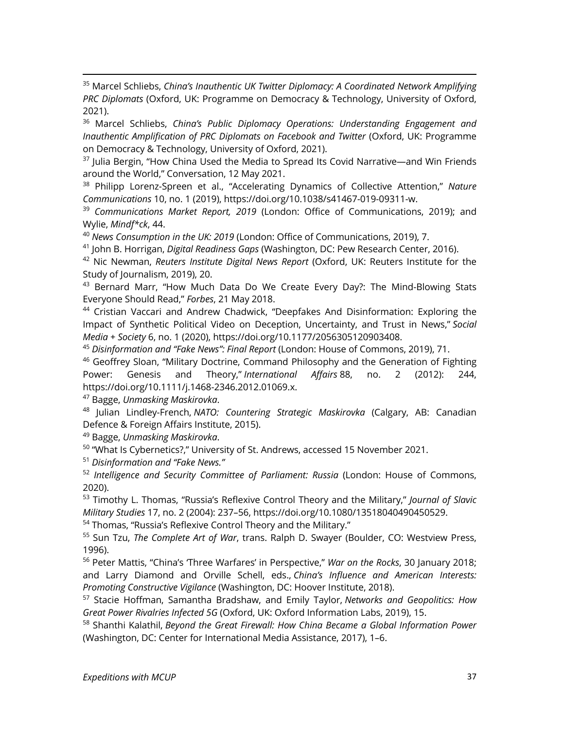<sup>35</sup> Marcel Schliebs, *China's Inauthentic UK Twitter Diplomacy: A Coordinated Network Amplifying PRC Diplomats* (Oxford, UK: Programme on Democracy & Technology, University of Oxford, 2021).

<sup>36</sup> Marcel Schliebs, *China's Public Diplomacy Operations: Understanding Engagement and Inauthentic Amplification of PRC Diplomats on Facebook and Twitter* (Oxford, UK: Programme on Democracy & Technology, University of Oxford, 2021).

 $37$  Julia Bergin, "How China Used the Media to Spread Its Covid Narrative—and Win Friends around the World," Conversation, 12 May 2021.

<sup>38</sup> Philipp Lorenz-Spreen et al., "Accelerating Dynamics of Collective Attention," *Nature Communications* 10, no. 1 (2019), https://doi.org/10.1038/s41467-019-09311-w.

<sup>39</sup> *Communications Market Report, 2019* (London: Office of Communications, 2019); and Wylie, *Mindf\*ck*, 44.

<sup>40</sup> *News Consumption in the UK: 2019* (London: Office of Communications, 2019), 7.

<sup>41</sup> John B. Horrigan, *Digital Readiness Gaps* (Washington, DC: Pew Research Center, 2016).

<sup>42</sup> Nic Newman, *Reuters Institute Digital News Report* (Oxford, UK: Reuters Institute for the Study of Journalism, 2019), 20.

<sup>43</sup> Bernard Marr, "How Much Data Do We Create Every Day?: The Mind-Blowing Stats Everyone Should Read," *Forbes*, 21 May 2018.

<sup>44</sup> Cristian Vaccari and Andrew Chadwick, "Deepfakes And Disinformation: Exploring the Impact of Synthetic Political Video on Deception, Uncertainty, and Trust in News," *Social Media + Society* 6, no. 1 (2020), https://doi.org/10.1177/2056305120903408.

<sup>45</sup> *Disinformation and "Fake News": Final Report* (London: House of Commons, 2019), 71.

<sup>46</sup> Geoffrey Sloan, "Military Doctrine, Command Philosophy and the Generation of Fighting Power: Genesis and Theory," *International Affairs* 88, no. 2 (2012): 244, https://doi.org/10.1111/j.1468-2346.2012.01069.x.

<sup>47</sup> Bagge, *Unmasking Maskirovka*.

<sup>48</sup> Julian Lindley-French, *NATO: Countering Strategic Maskirovka* (Calgary, AB: Canadian Defence & Foreign Affairs Institute, 2015).

<sup>49</sup> Bagge, *Unmasking Maskirovka*.

<sup>50</sup> "What Is Cybernetics?," University of St. Andrews, accessed 15 November 2021.

<sup>51</sup> *Disinformation and "Fake News."*

<sup>52</sup> *Intelligence and Security Committee of Parliament: Russia* (London: House of Commons, 2020).

<sup>53</sup> Timothy L. Thomas, "Russia's Reflexive Control Theory and the Military," *Journal of Slavic Military Studies* 17, no. 2 (2004): 237–56, https://doi.org/10.1080/13518040490450529.

<sup>54</sup> Thomas, "Russia's Reflexive Control Theory and the Military."

<sup>55</sup> Sun Tzu, *The Complete Art of War*, trans. Ralph D. Swayer (Boulder, CO: Westview Press, 1996).

<sup>56</sup> Peter Mattis, "China's 'Three Warfares' in Perspective," *War on the Rocks*, 30 January 2018; and Larry Diamond and Orville Schell, eds., *China's Influence and American Interests: Promoting Constructive Vigilance* (Washington, DC: Hoover Institute, 2018).

<sup>57</sup> Stacie Hoffman, Samantha Bradshaw, and Emily Taylor, *Networks and Geopolitics: How Great Power Rivalries Infected 5G* (Oxford, UK: Oxford Information Labs, 2019), 15.

<sup>58</sup> Shanthi Kalathil, *Beyond the Great Firewall: How China Became a Global Information Power* (Washington, DC: Center for International Media Assistance, 2017), 1–6.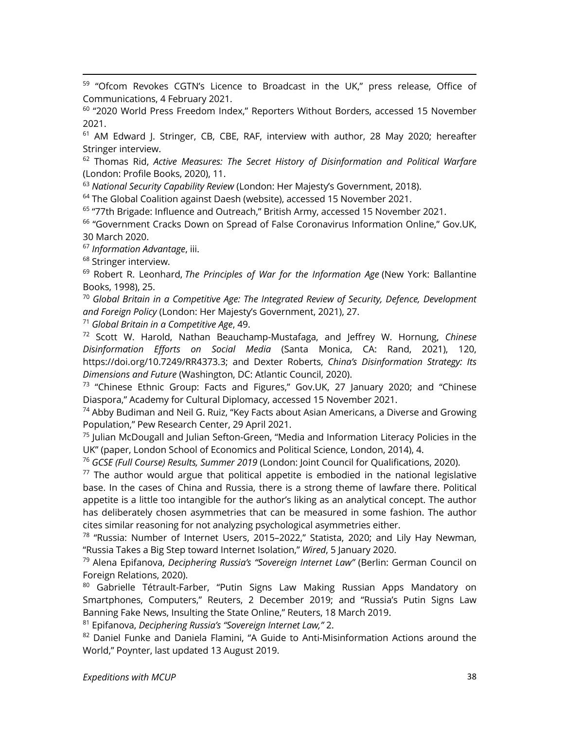<sup>59</sup> "Ofcom Revokes CGTN's Licence to Broadcast in the UK," press release, Office of Communications, 4 February 2021.

<sup>60</sup> "2020 World Press Freedom Index," Reporters Without Borders, accessed 15 November 2021.

<sup>61</sup> AM Edward J. Stringer, CB, CBE, RAF, interview with author, 28 May 2020; hereafter Stringer interview.

<sup>62</sup> Thomas Rid, *Active Measures: The Secret History of Disinformation and Political Warfare* (London: Profile Books, 2020), 11.

<sup>63</sup> *National Security Capability Review* (London: Her Majesty's Government, 2018).

 $64$  The Global Coalition against Daesh (website), accessed 15 November 2021.

<sup>65</sup> "77th Brigade: Influence and Outreach," British Army, accessed 15 November 2021.

<sup>66</sup> "Government Cracks Down on Spread of False Coronavirus Information Online," Gov.UK, 30 March 2020.

<sup>67</sup> *Information Advantage*, iii.

<sup>68</sup> Stringer interview.

<sup>69</sup> Robert R. Leonhard, *The Principles of War for the Information Age* (New York: Ballantine Books, 1998), 25.

<sup>70</sup> *Global Britain in a Competitive Age: The Integrated Review of Security, Defence, Development and Foreign Policy* (London: Her Majesty's Government, 2021), 27.

<sup>71</sup> *Global Britain in a Competitive Age*, 49.

<sup>72</sup> Scott W. Harold, Nathan Beauchamp-Mustafaga, and Jeffrey W. Hornung, *Chinese Disinformation Efforts on Social Media* (Santa Monica, CA: Rand, 2021), 120, https://doi.org/10.7249/RR4373.3; and Dexter Roberts, *China's Disinformation Strategy: Its Dimensions and Future* (Washington, DC: Atlantic Council, 2020).

 $73$  "Chinese Ethnic Group: Facts and Figures," Gov.UK, 27 January 2020; and "Chinese Diaspora," Academy for Cultural Diplomacy, accessed 15 November 2021.

 $74$  Abby Budiman and Neil G. Ruiz, "Key Facts about Asian Americans, a Diverse and Growing Population," Pew Research Center, 29 April 2021.

 $75$  Julian McDougall and Julian Sefton-Green, "Media and Information Literacy Policies in the UK" (paper, London School of Economics and Political Science, London, 2014), 4.

<sup>76</sup> *GCSE (Full Course) Results, Summer 2019* (London: Joint Council for Qualifications, 2020).

 $77$  The author would argue that political appetite is embodied in the national legislative base. In the cases of China and Russia, there is a strong theme of lawfare there. Political appetite is a little too intangible for the author's liking as an analytical concept. The author has deliberately chosen asymmetries that can be measured in some fashion. The author cites similar reasoning for not analyzing psychological asymmetries either.

<sup>78</sup> "Russia: Number of Internet Users, 2015–2022," Statista, 2020; and Lily Hay Newman, "Russia Takes a Big Step toward Internet Isolation," *Wired*, 5 January 2020.

<sup>79</sup> Alena Epifanova, *Deciphering Russia's "Sovereign Internet Law"* (Berlin: German Council on Foreign Relations, 2020).

<sup>80</sup> Gabrielle Tétrault-Farber, "Putin Signs Law Making Russian Apps Mandatory on Smartphones, Computers," Reuters, 2 December 2019; and "Russia's Putin Signs Law Banning Fake News, Insulting the State Online," Reuters, 18 March 2019.

<sup>81</sup> Epifanova, *Deciphering Russia's "Sovereign Internet Law,"* 2.

 $82$  Daniel Funke and Daniela Flamini, "A Guide to Anti-Misinformation Actions around the World," Poynter, last updated 13 August 2019.